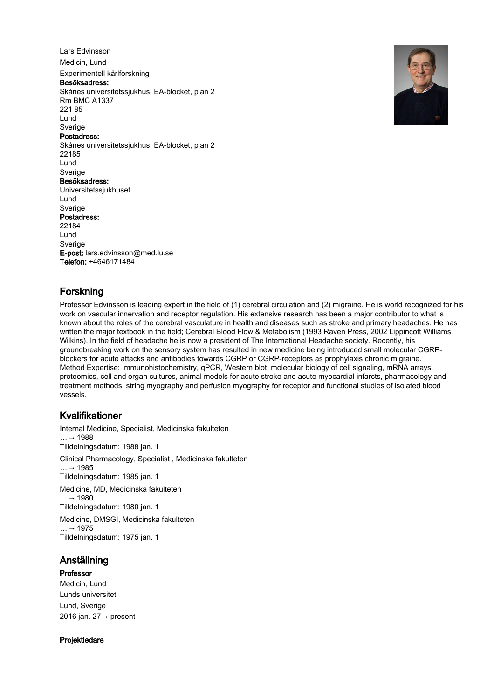Lars Edvinsson Medicin, Lund

# Experimentell kärlforskning

Besöksadress:

Skånes universitetssjukhus, EA-blocket, plan 2 Rm BMC A1337 221 85 Lund Sverige

# Postadress:

Skånes universitetssjukhus, EA-blocket, plan 2 22185 Lund Sverige Besöksadress: Universitetssjukhuset Lund Sverige Postadress: 22184 Lund Sverige E-post: lars.edvinsson@med.lu.se



# Forskning

Telefon: +4646171484

Professor Edvinsson is leading expert in the field of (1) cerebral circulation and (2) migraine. He is world recognized for his work on vascular innervation and receptor regulation. His extensive research has been a major contributor to what is known about the roles of the cerebral vasculature in health and diseases such as stroke and primary headaches. He has written the major textbook in the field; Cerebral Blood Flow & Metabolism (1993 Raven Press, 2002 Lippincott Williams Wilkins). In the field of headache he is now a president of The International Headache society. Recently, his groundbreaking work on the sensory system has resulted in new medicine being introduced small molecular CGRPblockers for acute attacks and antibodies towards CGRP or CGRP-receptors as prophylaxis chronic migraine. Method Expertise: Immunohistochemistry, qPCR, Western blot, molecular biology of cell signaling, mRNA arrays, proteomics, cell and organ cultures, animal models for acute stroke and acute myocardial infarcts, pharmacology and treatment methods, string myography and perfusion myography for receptor and functional studies of isolated blood vessels.

# Kvalifikationer

Internal Medicine, Specialist, Medicinska fakulteten  $... \rightarrow 1988$ Tilldelningsdatum: 1988 jan. 1 Clinical Pharmacology, Specialist , Medicinska fakulteten  $\ldots$  → 1985 Tilldelningsdatum: 1985 jan. 1 Medicine, MD, Medicinska fakulteten  $… → 1980$ Tilldelningsdatum: 1980 jan. 1 Medicine, DMSGI, Medicinska fakulteten

 $\ldots$  → 1975 Tilldelningsdatum: 1975 jan. 1

# Anställning

## Professor

Medicin, Lund Lunds universitet Lund, Sverige 2016 jan. 27  $\rightarrow$  present

Projektledare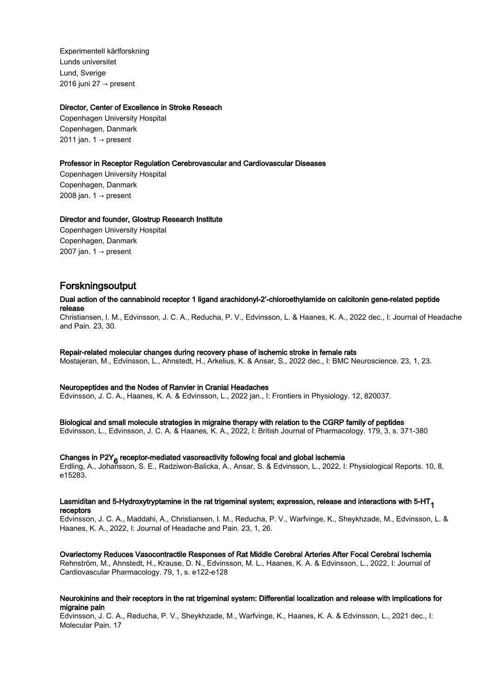Experimentell kärlforskning Lunds universitet Lund, Sverige 2016 juni 27  $\rightarrow$  present

## Director, Center of Excellence in Stroke Reseach

Copenhagen University Hospital Copenhagen, Danmark 2011 jan.  $1 \rightarrow$  present

## Professor in Receptor Regulation Cerebrovascular and Cardiovascular Diseases

Copenhagen University Hospital Copenhagen, Danmark 2008 jan.  $1 \rightarrow$  present

## Director and founder, Glostrup Research Institute

Copenhagen University Hospital Copenhagen, Danmark 2007 jan. 1  $\rightarrow$  present

# Forskningsoutput

## Dual action of the cannabinoid receptor 1 ligand arachidonyl-2′-chloroethylamide on calcitonin gene-related peptide release

Christiansen, I. M., Edvinsson, J. C. A., Reducha, P. V., Edvinsson, L. & Haanes, K. A., 2022 dec., I: Journal of Headache and Pain. 23, 30.

# Repair-related molecular changes during recovery phase of ischemic stroke in female rats

Mostajeran, M., Edvinsson, L., Ahnstedt, H., Arkelius, K. & Ansar, S., 2022 dec., I: BMC Neuroscience. 23, 1, 23.

## Neuropeptides and the Nodes of Ranvier in Cranial Headaches

Edvinsson, J. C. A., Haanes, K. A. & Edvinsson, L., 2022 jan., I: Frontiers in Physiology. 12, 820037.

## Biological and small molecule strategies in migraine therapy with relation to the CGRP family of peptides

Edvinsson, L., Edvinsson, J. C. A. & Haanes, K. A., 2022, I: British Journal of Pharmacology. 179, 3, s. 371-380

# Changes in P2Y<sub>6</sub> receptor-mediated vasoreactivity following focal and global ischemia<br>Fallise of a shake secondary for Darkinse Dalisles of a secondary Friderica Luce 2000.

Erdling, A., Johansson, S. E., Radziwon-Balicka, A., Ansar, S. & Edvinsson, L., 2022, I: Physiological Reports. 10, 8, e15283.

#### Lasmiditan and 5-Hydroxytryptamine in the rat trigeminal system; expression, release and interactions with  $5-HT<sub>4</sub>$ receptors

Edvinsson, J. C. A., Maddahi, A., Christiansen, I. M., Reducha, P. V., Warfvinge, K., Sheykhzade, M., Edvinsson, L. & Haanes, K. A., 2022, I: Journal of Headache and Pain. 23, 1, 26.

## Ovariectomy Reduces Vasocontractile Responses of Rat Middle Cerebral Arteries After Focal Cerebral Ischemia

Rehnström, M., Ahnstedt, H., Krause, D. N., Edvinsson, M. L., Haanes, K. A. & Edvinsson, L., 2022, I: Journal of Cardiovascular Pharmacology. 79, 1, s. e122-e128

## Neurokinins and their receptors in the rat trigeminal system: Differential localization and release with implications for migraine pain

Edvinsson, J. C. A., Reducha, P. V., Sheykhzade, M., Warfvinge, K., Haanes, K. A. & Edvinsson, L., 2021 dec., I: Molecular Pain. 17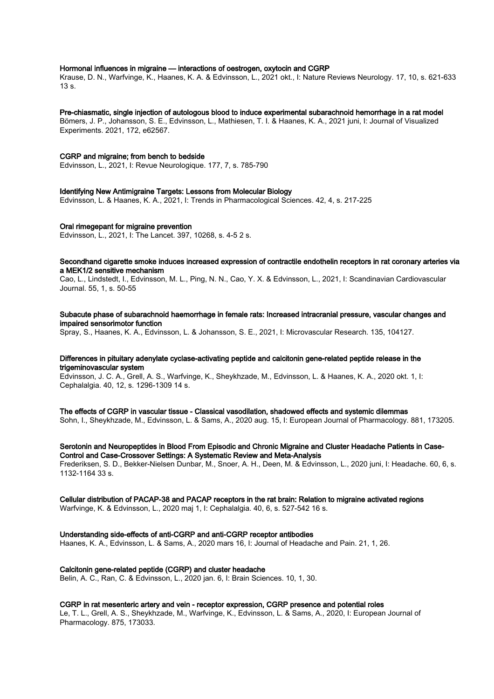#### Hormonal influences in migraine — interactions of oestrogen, oxytocin and CGRP

Krause, D. N., Warfvinge, K., Haanes, K. A. & Edvinsson, L., 2021 okt., I: Nature Reviews Neurology. 17, 10, s. 621-633 13 s.

#### Pre-chiasmatic, single injection of autologous blood to induce experimental subarachnoid hemorrhage in a rat model

Bömers, J. P., Johansson, S. E., Edvinsson, L., Mathiesen, T. I. & Haanes, K. A., 2021 juni, I: Journal of Visualized Experiments. 2021, 172, e62567.

#### CGRP and migraine; from bench to bedside

Edvinsson, L., 2021, I: Revue Neurologique. 177, 7, s. 785-790

#### Identifying New Antimigraine Targets: Lessons from Molecular Biology

Edvinsson, L. & Haanes, K. A., 2021, I: Trends in Pharmacological Sciences. 42, 4, s. 217-225

#### Oral rimegepant for migraine prevention

Edvinsson, L., 2021, I: The Lancet. 397, 10268, s. 4-5 2 s.

#### Secondhand cigarette smoke induces increased expression of contractile endothelin receptors in rat coronary arteries via a MEK1/2 sensitive mechanism

Cao, L., Lindstedt, I., Edvinsson, M. L., Ping, N. N., Cao, Y. X. & Edvinsson, L., 2021, I: Scandinavian Cardiovascular Journal. 55, 1, s. 50-55

### Subacute phase of subarachnoid haemorrhage in female rats: Increased intracranial pressure, vascular changes and impaired sensorimotor function

Spray, S., Haanes, K. A., Edvinsson, L. & Johansson, S. E., 2021, I: Microvascular Research. 135, 104127.

## Differences in pituitary adenylate cyclase-activating peptide and calcitonin gene-related peptide release in the trigeminovascular system

Edvinsson, J. C. A., Grell, A. S., Warfvinge, K., Sheykhzade, M., Edvinsson, L. & Haanes, K. A., 2020 okt. 1, I: Cephalalgia. 40, 12, s. 1296-1309 14 s.

#### The effects of CGRP in vascular tissue - Classical vasodilation, shadowed effects and systemic dilemmas

Sohn, I., Sheykhzade, M., Edvinsson, L. & Sams, A., 2020 aug. 15, I: European Journal of Pharmacology. 881, 173205.

#### Serotonin and Neuropeptides in Blood From Episodic and Chronic Migraine and Cluster Headache Patients in Case-Control and Case-Crossover Settings: A Systematic Review and Meta-Analysis

Frederiksen, S. D., Bekker-Nielsen Dunbar, M., Snoer, A. H., Deen, M. & Edvinsson, L., 2020 juni, I: Headache. 60, 6, s. 1132-1164 33 s.

#### Cellular distribution of PACAP-38 and PACAP receptors in the rat brain: Relation to migraine activated regions

Warfvinge, K. & Edvinsson, L., 2020 maj 1, I: Cephalalgia. 40, 6, s. 527-542 16 s.

#### Understanding side-effects of anti-CGRP and anti-CGRP receptor antibodies

Haanes, K. A., Edvinsson, L. & Sams, A., 2020 mars 16, I: Journal of Headache and Pain. 21, 1, 26.

#### Calcitonin gene-related peptide (CGRP) and cluster headache

Belin, A. C., Ran, C. & Edvinsson, L., 2020 jan. 6, I: Brain Sciences. 10, 1, 30.

#### CGRP in rat mesenteric artery and vein - receptor expression, CGRP presence and potential roles

Le, T. L., Grell, A. S., Sheykhzade, M., Warfvinge, K., Edvinsson, L. & Sams, A., 2020, I: European Journal of Pharmacology. 875, 173033.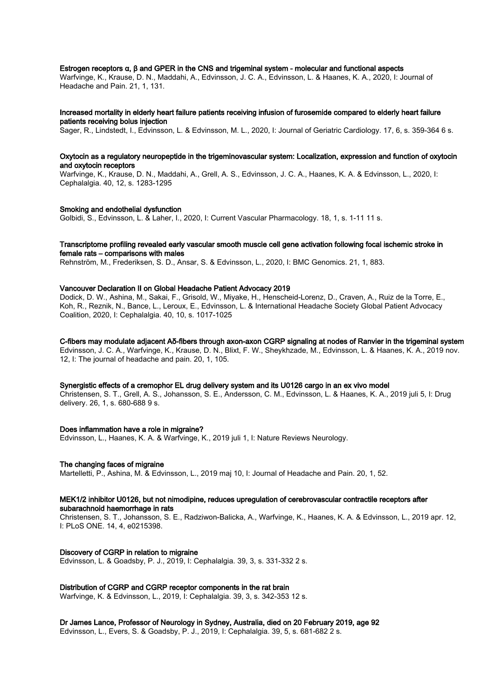#### Estrogen receptors α, β and GPER in the CNS and trigeminal system - molecular and functional aspects

Warfvinge, K., Krause, D. N., Maddahi, A., Edvinsson, J. C. A., Edvinsson, L. & Haanes, K. A., 2020, I: Journal of Headache and Pain. 21, 1, 131.

#### Increased mortality in elderly heart failure patients receiving infusion of furosemide compared to elderly heart failure patients receiving bolus injection

Sager, R., Lindstedt, I., Edvinsson, L. & Edvinsson, M. L., 2020, I: Journal of Geriatric Cardiology. 17, 6, s. 359-364 6 s.

#### Oxytocin as a regulatory neuropeptide in the trigeminovascular system: Localization, expression and function of oxytocin and oxytocin receptors

Warfvinge, K., Krause, D. N., Maddahi, A., Grell, A. S., Edvinsson, J. C. A., Haanes, K. A. & Edvinsson, L., 2020, I: Cephalalgia. 40, 12, s. 1283-1295

#### Smoking and endothelial dysfunction

Golbidi, S., Edvinsson, L. & Laher, I., 2020, I: Current Vascular Pharmacology. 18, 1, s. 1-11 11 s.

## Transcriptome profiling revealed early vascular smooth muscle cell gene activation following focal ischemic stroke in female rats – comparisons with males

Rehnström, M., Frederiksen, S. D., Ansar, S. & Edvinsson, L., 2020, I: BMC Genomics. 21, 1, 883.

## Vancouver Declaration II on Global Headache Patient Advocacy 2019

Dodick, D. W., Ashina, M., Sakai, F., Grisold, W., Miyake, H., Henscheid-Lorenz, D., Craven, A., Ruiz de la Torre, E., Koh, R., Reznik, N., Bance, L., Leroux, E., Edvinsson, L. & International Headache Society Global Patient Advocacy Coalition, 2020, I: Cephalalgia. 40, 10, s. 1017-1025

#### C-fibers may modulate adjacent Aδ-fibers through axon-axon CGRP signaling at nodes of Ranvier in the trigeminal system Edvinsson, J. C. A., Warfvinge, K., Krause, D. N., Blixt, F. W., Sheykhzade, M., Edvinsson, L. & Haanes, K. A., 2019 nov.

12, I: The journal of headache and pain. 20, 1, 105.

## Synergistic effects of a cremophor EL drug delivery system and its U0126 cargo in an ex vivo model

Christensen, S. T., Grell, A. S., Johansson, S. E., Andersson, C. M., Edvinsson, L. & Haanes, K. A., 2019 juli 5, I: Drug delivery. 26, 1, s. 680-688 9 s.

#### Does inflammation have a role in migraine?

Edvinsson, L., Haanes, K. A. & Warfvinge, K., 2019 juli 1, I: Nature Reviews Neurology.

#### The changing faces of migraine

Martelletti, P., Ashina, M. & Edvinsson, L., 2019 maj 10, I: Journal of Headache and Pain. 20, 1, 52.

#### MEK1/2 inhibitor U0126, but not nimodipine, reduces upregulation of cerebrovascular contractile receptors after subarachnoid haemorrhage in rats

Christensen, S. T., Johansson, S. E., Radziwon-Balicka, A., Warfvinge, K., Haanes, K. A. & Edvinsson, L., 2019 apr. 12, I: PLoS ONE. 14, 4, e0215398.

#### Discovery of CGRP in relation to migraine

Edvinsson, L. & Goadsby, P. J., 2019, I: Cephalalgia. 39, 3, s. 331-332 2 s.

#### Distribution of CGRP and CGRP receptor components in the rat brain

Warfvinge, K. & Edvinsson, L., 2019, I: Cephalalgia. 39, 3, s. 342-353 12 s.

Dr James Lance, Professor of Neurology in Sydney, Australia, died on 20 February 2019, age 92

Edvinsson, L., Evers, S. & Goadsby, P. J., 2019, I: Cephalalgia. 39, 5, s. 681-682 2 s.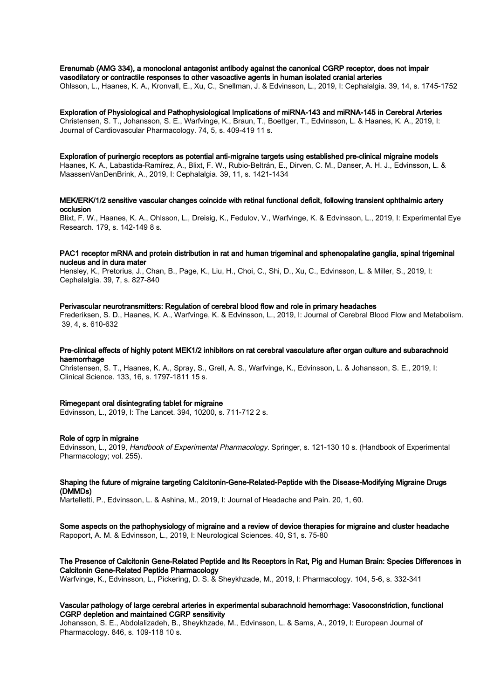Erenumab (AMG 334), a monoclonal antagonist antibody against the canonical CGRP receptor, does not impair vasodilatory or contractile responses to other vasoactive agents in human isolated cranial arteries

Ohlsson, L., Haanes, K. A., Kronvall, E., Xu, C., Snellman, J. & Edvinsson, L., 2019, I: Cephalalgia. 39, 14, s. 1745-1752

Exploration of Physiological and Pathophysiological Implications of miRNA-143 and miRNA-145 in Cerebral Arteries Christensen, S. T., Johansson, S. E., Warfvinge, K., Braun, T., Boettger, T., Edvinsson, L. & Haanes, K. A., 2019, I: Journal of Cardiovascular Pharmacology. 74, 5, s. 409-419 11 s.

Exploration of purinergic receptors as potential anti-migraine targets using established pre-clinical migraine models Haanes, K. A., Labastida-Ramírez, A., Blixt, F. W., Rubio-Beltrán, E., Dirven, C. M., Danser, A. H. J., Edvinsson, L. & MaassenVanDenBrink, A., 2019, I: Cephalalgia. 39, 11, s. 1421-1434

#### MEK/ERK/1/2 sensitive vascular changes coincide with retinal functional deficit, following transient ophthalmic artery occlusion

Blixt, F. W., Haanes, K. A., Ohlsson, L., Dreisig, K., Fedulov, V., Warfvinge, K. & Edvinsson, L., 2019, I: Experimental Eye Research. 179, s. 142-149 8 s.

## PAC1 receptor mRNA and protein distribution in rat and human trigeminal and sphenopalatine ganglia, spinal trigeminal nucleus and in dura mater

Hensley, K., Pretorius, J., Chan, B., Page, K., Liu, H., Choi, C., Shi, D., Xu, C., Edvinsson, L. & Miller, S., 2019, I: Cephalalgia. 39, 7, s. 827-840

#### Perivascular neurotransmitters: Regulation of cerebral blood flow and role in primary headaches

Frederiksen, S. D., Haanes, K. A., Warfvinge, K. & Edvinsson, L., 2019, I: Journal of Cerebral Blood Flow and Metabolism. 39, 4, s. 610-632

## Pre-clinical effects of highly potent MEK1/2 inhibitors on rat cerebral vasculature after organ culture and subarachnoid haemorrhage

Christensen, S. T., Haanes, K. A., Spray, S., Grell, A. S., Warfvinge, K., Edvinsson, L. & Johansson, S. E., 2019, I: Clinical Science. 133, 16, s. 1797-1811 15 s.

#### Rimegepant oral disintegrating tablet for migraine

Edvinsson, L., 2019, I: The Lancet. 394, 10200, s. 711-712 2 s.

#### Role of cgrp in migraine

Edvinsson, L., 2019, Handbook of Experimental Pharmacology. Springer, s. 121-130 10 s. (Handbook of Experimental Pharmacology; vol. 255).

#### Shaping the future of migraine targeting Calcitonin-Gene-Related-Peptide with the Disease-Modifying Migraine Drugs (DMMDs)

Martelletti, P., Edvinsson, L. & Ashina, M., 2019, I: Journal of Headache and Pain. 20, 1, 60.

## Some aspects on the pathophysiology of migraine and a review of device therapies for migraine and cluster headache

Rapoport, A. M. & Edvinsson, L., 2019, I: Neurological Sciences. 40, S1, s. 75-80

## The Presence of Calcitonin Gene-Related Peptide and Its Receptors in Rat, Pig and Human Brain: Species Differences in Calcitonin Gene-Related Peptide Pharmacology

Warfvinge, K., Edvinsson, L., Pickering, D. S. & Sheykhzade, M., 2019, I: Pharmacology. 104, 5-6, s. 332-341

## Vascular pathology of large cerebral arteries in experimental subarachnoid hemorrhage: Vasoconstriction, functional CGRP depletion and maintained CGRP sensitivity

Johansson, S. E., Abdolalizadeh, B., Sheykhzade, M., Edvinsson, L. & Sams, A., 2019, I: European Journal of Pharmacology. 846, s. 109-118 10 s.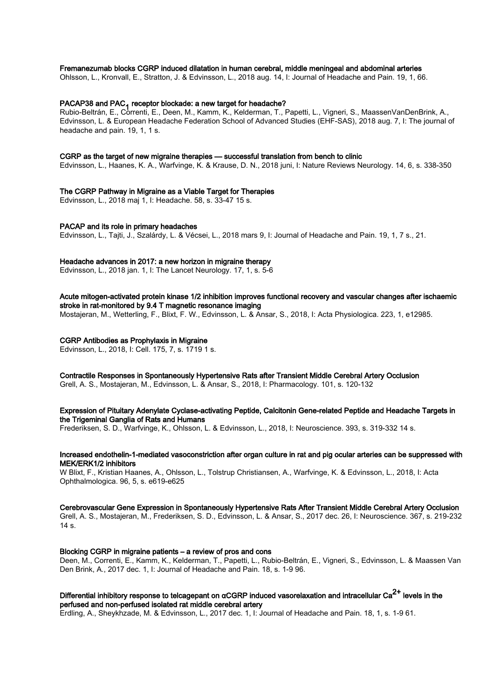#### Fremanezumab blocks CGRP induced dilatation in human cerebral, middle meningeal and abdominal arteries

Ohlsson, L., Kronvall, E., Stratton, J. & Edvinsson, L., 2018 aug. 14, I: Journal of Headache and Pain. 19, 1, 66.

# PACAP38 and PAC<sub>1</sub> receptor blockade: a new target for headache?<br>Rubis Baltián, E. Carmeti, E. Basic M. Karmeti, Kalderman, T. J

Rubio-Beltrán, E., Correnti, E., Deen, M., Kamm, K., Kelderman, T., Papetti, L., Vigneri, S., MaassenVanDenBrink, A., Edvinsson, L. & European Headache Federation School of Advanced Studies (EHF-SAS), 2018 aug. 7, I: The journal of headache and pain. 19, 1, 1 s.

#### CGRP as the target of new migraine therapies — successful translation from bench to clinic

Edvinsson, L., Haanes, K. A., Warfvinge, K. & Krause, D. N., 2018 juni, I: Nature Reviews Neurology. 14, 6, s. 338-350

## The CGRP Pathway in Migraine as a Viable Target for Therapies

Edvinsson, L., 2018 maj 1, I: Headache. 58, s. 33-47 15 s.

#### PACAP and its role in primary headaches

Edvinsson, L., Tajti, J., Szalárdy, L. & Vécsei, L., 2018 mars 9, I: Journal of Headache and Pain. 19, 1, 7 s., 21.

#### Headache advances in 2017: a new horizon in migraine therapy

Edvinsson, L., 2018 jan. 1, I: The Lancet Neurology. 17, 1, s. 5-6

Acute mitogen-activated protein kinase 1/2 inhibition improves functional recovery and vascular changes after ischaemic stroke in rat-monitored by 9.4 T magnetic resonance imaging Mostajeran, M., Wetterling, F., Blixt, F. W., Edvinsson, L. & Ansar, S., 2018, I: Acta Physiologica. 223, 1, e12985.

#### CGRP Antibodies as Prophylaxis in Migraine

Edvinsson, L., 2018, I: Cell. 175, 7, s. 1719 1 s.

Contractile Responses in Spontaneously Hypertensive Rats after Transient Middle Cerebral Artery Occlusion Grell, A. S., Mostajeran, M., Edvinsson, L. & Ansar, S., 2018, I: Pharmacology. 101, s. 120-132

# Expression of Pituitary Adenylate Cyclase-activating Peptide, Calcitonin Gene-related Peptide and Headache Targets in the Trigeminal Ganglia of Rats and Humans

Frederiksen, S. D., Warfvinge, K., Ohlsson, L. & Edvinsson, L., 2018, I: Neuroscience. 393, s. 319-332 14 s.

# Increased endothelin-1-mediated vasoconstriction after organ culture in rat and pig ocular arteries can be suppressed with MEK/ERK1/2 inhibitors

W Blixt, F., Kristian Haanes, A., Ohlsson, L., Tolstrup Christiansen, A., Warfvinge, K. & Edvinsson, L., 2018, I: Acta Ophthalmologica. 96, 5, s. e619-e625

#### Cerebrovascular Gene Expression in Spontaneously Hypertensive Rats After Transient Middle Cerebral Artery Occlusion Grell, A. S., Mostajeran, M., Frederiksen, S. D., Edvinsson, L. & Ansar, S., 2017 dec. 26, I: Neuroscience. 367, s. 219-232

 $14 s$ .

## Blocking CGRP in migraine patients – a review of pros and cons

Deen, M., Correnti, E., Kamm, K., Kelderman, T., Papetti, L., Rubio-Beltrán, E., Vigneri, S., Edvinsson, L. & Maassen Van Den Brink, A., 2017 dec. 1, I: Journal of Headache and Pain. 18, s. 1-9 96.

# Differential inhibitory response to telcagepant on αCGRP induced vasorelaxation and intracellular Ca $^{2+}$  levels in the perfused and non-perfused isolated rat middle cerebral artery

Erdling, A., Sheykhzade, M. & Edvinsson, L., 2017 dec. 1, I: Journal of Headache and Pain. 18, 1, s. 1-9 61.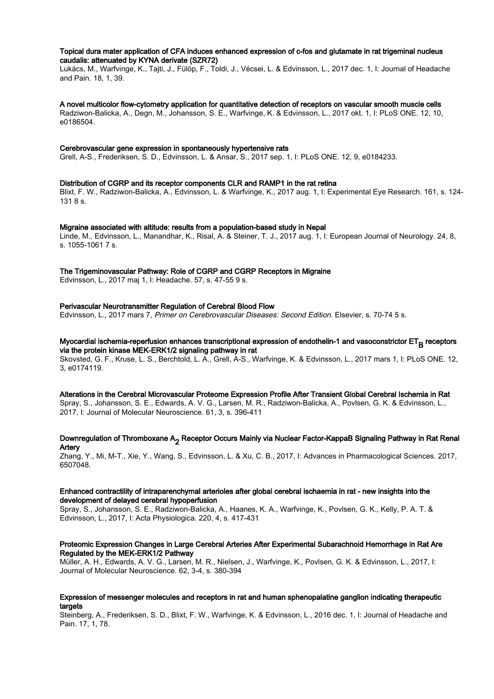### Topical dura mater application of CFA induces enhanced expression of c-fos and glutamate in rat trigeminal nucleus caudalis: attenuated by KYNA derivate (SZR72)

Lukács, M., Warfvinge, K., Tajti, J., Fülöp, F., Toldi, J., Vécsei, L. & Edvinsson, L., 2017 dec. 1, I: Journal of Headache and Pain. 18, 1, 39.

A novel multicolor flow-cytometry application for quantitative detection of receptors on vascular smooth muscle cells Radziwon-Balicka, A., Degn, M., Johansson, S. E., Warfvinge, K. & Edvinsson, L., 2017 okt. 1, I: PLoS ONE. 12, 10, e0186504.

#### Cerebrovascular gene expression in spontaneously hypertensive rats

Grell, A-S., Frederiksen, S. D., Edvinsson, L. & Ansar, S., 2017 sep. 1, I: PLoS ONE. 12, 9, e0184233.

#### Distribution of CGRP and its receptor components CLR and RAMP1 in the rat retina

Blixt, F. W., Radziwon-Balicka, A., Edvinsson, L. & Warfvinge, K., 2017 aug. 1, I: Experimental Eye Research. 161, s. 124- 131 8 s.

#### Migraine associated with altitude: results from a population-based study in Nepal

Linde, M., Edvinsson, L., Manandhar, K., Risal, A. & Steiner, T. J., 2017 aug. 1, I: European Journal of Neurology. 24, 8, s. 1055-1061 7 s.

## The Trigeminovascular Pathway: Role of CGRP and CGRP Receptors in Migraine

Edvinsson, L., 2017 maj 1, I: Headache. 57, s. 47-55 9 s.

#### Perivascular Neurotransmitter Regulation of Cerebral Blood Flow

Edvinsson, L., 2017 mars 7, Primer on Cerebrovascular Diseases: Second Edition. Elsevier, s. 70-74 5 s.

## Myocardial ischemia-reperfusion enhances transcriptional expression of endothelin-1 and vasoconstrictor ET<sub>B</sub> receptors<br>Site the asstain linear MEK EDK1/2 signalise nathway in act. via the protein kinase MEK-ERK1/2 signaling pathway in rat

Skovsted, G. F., Kruse, L. S., Berchtold, L. A., Grell, A-S., Warfvinge, K. & Edvinsson, L., 2017 mars 1, I: PLoS ONE. 12, 3, e0174119.

Alterations in the Cerebral Microvascular Proteome Expression Profile After Transient Global Cerebral Ischemia in Rat Spray, S., Johansson, S. E., Edwards, A. V. G., Larsen, M. R., Radziwon-Balicka, A., Povlsen, G. K. & Edvinsson, L., 2017, I: Journal of Molecular Neuroscience. 61, 3, s. 396-411

## Downregulation of Thromboxane A<sub>2</sub> Receptor Occurs Mainly via Nuclear Factor-KappaB Signaling Pathway in Rat Renal<br>Artary Artery

Zhang, Y., Mi, M-T., Xie, Y., Wang, S., Edvinsson, L. & Xu, C. B., 2017, I: Advances in Pharmacological Sciences. 2017, 6507048.

## Enhanced contractility of intraparenchymal arterioles after global cerebral ischaemia in rat - new insights into the development of delayed cerebral hypoperfusion

Spray, S., Johansson, S. E., Radziwon-Balicka, A., Haanes, K. A., Warfvinge, K., Povlsen, G. K., Kelly, P. A. T. & Edvinsson, L., 2017, I: Acta Physiologica. 220, 4, s. 417-431

## Proteomic Expression Changes in Large Cerebral Arteries After Experimental Subarachnoid Hemorrhage in Rat Are Regulated by the MEK-ERK1/2 Pathway

Müller, A. H., Edwards, A. V. G., Larsen, M. R., Nielsen, J., Warfvinge, K., Povlsen, G. K. & Edvinsson, L., 2017, I: Journal of Molecular Neuroscience. 62, 3-4, s. 380-394

#### Expression of messenger molecules and receptors in rat and human sphenopalatine ganglion indicating therapeutic targets

Steinberg, A., Frederiksen, S. D., Blixt, F. W., Warfvinge, K. & Edvinsson, L., 2016 dec. 1, I: Journal of Headache and Pain. 17, 1, 78.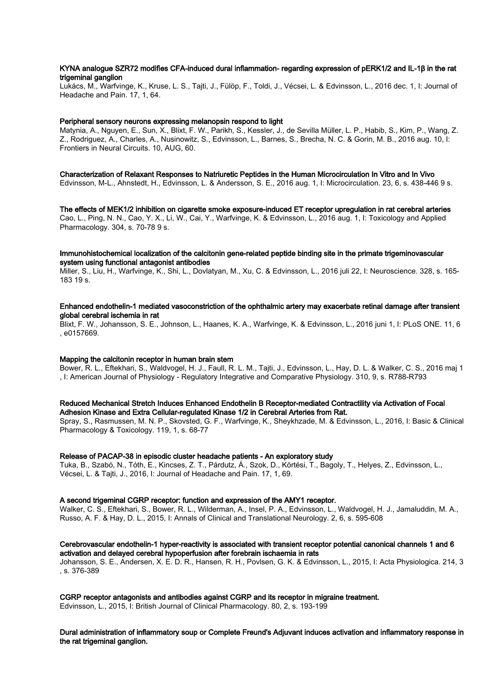## KYNA analogue SZR72 modifies CFA-induced dural inflammation- regarding expression of pERK1/2 and IL-1β in the rat trigeminal ganglion

Lukács, M., Warfvinge, K., Kruse, L. S., Tajti, J., Fülöp, F., Toldi, J., Vécsei, L. & Edvinsson, L., 2016 dec. 1, I: Journal of Headache and Pain. 17, 1, 64.

#### Peripheral sensory neurons expressing melanopsin respond to light

Matynia, A., Nguyen, E., Sun, X., Blixt, F. W., Parikh, S., Kessler, J., de Sevilla Müller, L. P., Habib, S., Kim, P., Wang, Z. Z., Rodriguez, A., Charles, A., Nusinowitz, S., Edvinsson, L., Barnes, S., Brecha, N. C. & Gorin, M. B., 2016 aug. 10, I: Frontiers in Neural Circuits. 10, AUG, 60.

#### Characterization of Relaxant Responses to Natriuretic Peptides in the Human Microcirculation In Vitro and In Vivo

Edvinsson, M-L., Ahnstedt, H., Edvinsson, L. & Andersson, S. E., 2016 aug. 1, I: Microcirculation. 23, 6, s. 438-446 9 s.

The effects of MEK1/2 inhibition on cigarette smoke exposure-induced ET receptor upregulation in rat cerebral arteries Cao, L., Ping, N. N., Cao, Y. X., Li, W., Cai, Y., Warfvinge, K. & Edvinsson, L., 2016 aug. 1, I: Toxicology and Applied Pharmacology. 304, s. 70-78 9 s.

#### Immunohistochemical localization of the calcitonin gene-related peptide binding site in the primate trigeminovascular system using functional antagonist antibodies

Miller, S., Liu, H., Warfvinge, K., Shi, L., Dovlatyan, M., Xu, C. & Edvinsson, L., 2016 juli 22, I: Neuroscience. 328, s. 165-  $18319c$ 

## Enhanced endothelin-1 mediated vasoconstriction of the ophthalmic artery may exacerbate retinal damage after transient global cerebral ischemia in rat

Blixt, F. W., Johansson, S. E., Johnson, L., Haanes, K. A., Warfvinge, K. & Edvinsson, L., 2016 juni 1, I: PLoS ONE. 11, 6 , e0157669.

## Mapping the calcitonin receptor in human brain stem

Bower, R. L., Eftekhari, S., Waldvogel, H. J., Faull, R. L. M., Tajti, J., Edvinsson, L., Hay, D. L. & Walker, C. S., 2016 maj 1 , I: American Journal of Physiology - Regulatory Integrative and Comparative Physiology. 310, 9, s. R788-R793

#### Reduced Mechanical Stretch Induces Enhanced Endothelin B Receptor-mediated Contractility via Activation of Focal Adhesion Kinase and Extra Cellular-regulated Kinase 1/2 in Cerebral Arteries from Rat.

Spray, S., Rasmussen, M. N. P., Skovsted, G. F., Warfvinge, K., Sheykhzade, M. & Edvinsson, L., 2016, I: Basic & Clinical Pharmacology & Toxicology. 119, 1, s. 68-77

#### Release of PACAP-38 in episodic cluster headache patients - An exploratory study

Tuka, B., Szabó, N., Tóth, E., Kincses, Z. T., Párdutz, Á., Szok, D., Körtési, T., Bagoly, T., Helyes, Z., Edvinsson, L., Vécsei, L. & Tajti, J., 2016, I: Journal of Headache and Pain. 17, 1, 69.

## A second trigeminal CGRP receptor: function and expression of the AMY1 receptor.

Walker, C. S., Eftekhari, S., Bower, R. L., Wilderman, A., Insel, P. A., Edvinsson, L., Waldvogel, H. J., Jamaluddin, M. A., Russo, A. F. & Hay, D. L., 2015, I: Annals of Clinical and Translational Neurology. 2, 6, s. 595-608

## Cerebrovascular endothelin-1 hyper-reactivity is associated with transient receptor potential canonical channels 1 and 6 activation and delayed cerebral hypoperfusion after forebrain ischaemia in rats

Johansson, S. E., Andersen, X. E. D. R., Hansen, R. H., Povlsen, G. K. & Edvinsson, L., 2015, I: Acta Physiologica. 214, 3 , s. 376-389

## CGRP receptor antagonists and antibodies against CGRP and its receptor in migraine treatment.

Edvinsson, L., 2015, I: British Journal of Clinical Pharmacology. 80, 2, s. 193-199

Dural administration of inflammatory soup or Complete Freund's Adjuvant induces activation and inflammatory response in the rat trigeminal ganglion.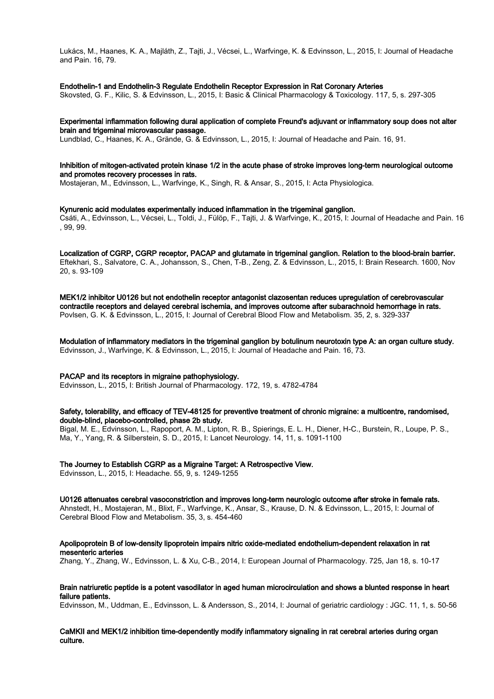Lukács, M., Haanes, K. A., Majláth, Z., Tajti, J., Vécsei, L., Warfvinge, K. & Edvinsson, L., 2015, I: Journal of Headache and Pain. 16, 79.

#### Endothelin-1 and Endothelin-3 Regulate Endothelin Receptor Expression in Rat Coronary Arteries

Skovsted, G. F., Kilic, S. & Edvinsson, L., 2015, I: Basic & Clinical Pharmacology & Toxicology. 117, 5, s. 297-305

# Experimental inflammation following dural application of complete Freund's adjuvant or inflammatory soup does not alter brain and trigeminal microvascular passage.

Lundblad, C., Haanes, K. A., Grände, G. & Edvinsson, L., 2015, I: Journal of Headache and Pain. 16, 91.

## Inhibition of mitogen-activated protein kinase 1/2 in the acute phase of stroke improves long-term neurological outcome and promotes recovery processes in rats.

Mostajeran, M., Edvinsson, L., Warfvinge, K., Singh, R. & Ansar, S., 2015, I: Acta Physiologica.

#### Kynurenic acid modulates experimentally induced inflammation in the trigeminal ganglion.

Csáti, A., Edvinsson, L., Vécsei, L., Toldi, J., Fülöp, F., Tajti, J. & Warfvinge, K., 2015, I: Journal of Headache and Pain. 16 , 99, 99.

Localization of CGRP, CGRP receptor, PACAP and glutamate in trigeminal ganglion. Relation to the blood-brain barrier. Eftekhari, S., Salvatore, C. A., Johansson, S., Chen, T-B., Zeng, Z. & Edvinsson, L., 2015, I: Brain Research. 1600, Nov 20, s. 93-109

MEK1/2 inhibitor U0126 but not endothelin receptor antagonist clazosentan reduces upregulation of cerebrovascular contractile receptors and delayed cerebral ischemia, and improves outcome after subarachnoid hemorrhage in rats. Povlsen, G. K. & Edvinsson, L., 2015, I: Journal of Cerebral Blood Flow and Metabolism. 35, 2, s. 329-337

Modulation of inflammatory mediators in the trigeminal ganglion by botulinum neurotoxin type A: an organ culture study. Edvinsson, J., Warfvinge, K. & Edvinsson, L., 2015, I: Journal of Headache and Pain. 16, 73.

## PACAP and its receptors in migraine pathophysiology.

Edvinsson, L., 2015, I: British Journal of Pharmacology. 172, 19, s. 4782-4784

### Safety, tolerability, and efficacy of TEV-48125 for preventive treatment of chronic migraine: a multicentre, randomised, double-blind, placebo-controlled, phase 2b study.

Bigal, M. E., Edvinsson, L., Rapoport, A. M., Lipton, R. B., Spierings, E. L. H., Diener, H-C., Burstein, R., Loupe, P. S., Ma, Y., Yang, R. & Silberstein, S. D., 2015, I: Lancet Neurology. 14, 11, s. 1091-1100

## The Journey to Establish CGRP as a Migraine Target: A Retrospective View.

Edvinsson, L., 2015, I: Headache. 55, 9, s. 1249-1255

U0126 attenuates cerebral vasoconstriction and improves long-term neurologic outcome after stroke in female rats. Ahnstedt, H., Mostajeran, M., Blixt, F., Warfvinge, K., Ansar, S., Krause, D. N. & Edvinsson, L., 2015, I: Journal of Cerebral Blood Flow and Metabolism. 35, 3, s. 454-460

Apolipoprotein B of low-density lipoprotein impairs nitric oxide-mediated endothelium-dependent relaxation in rat mesenteric arteries

Zhang, Y., Zhang, W., Edvinsson, L. & Xu, C-B., 2014, I: European Journal of Pharmacology. 725, Jan 18, s. 10-17

## Brain natriuretic peptide is a potent vasodilator in aged human microcirculation and shows a blunted response in heart failure patients.

Edvinsson, M., Uddman, E., Edvinsson, L. & Andersson, S., 2014, I: Journal of geriatric cardiology : JGC. 11, 1, s. 50-56

## CaMKII and MEK1/2 inhibition time-dependently modify inflammatory signaling in rat cerebral arteries during organ culture.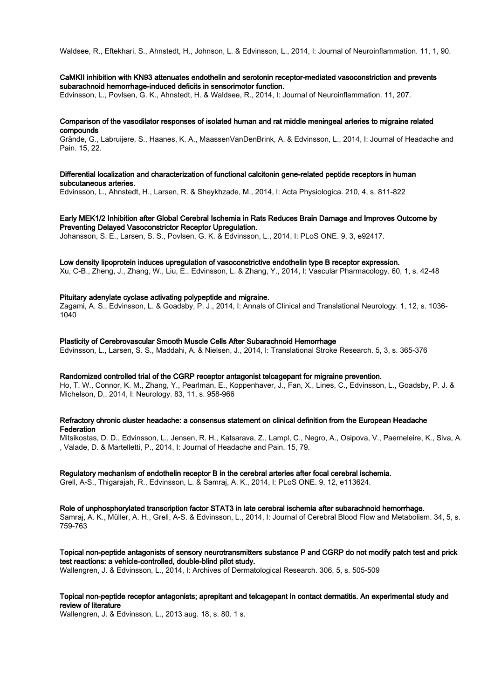Waldsee, R., Eftekhari, S., Ahnstedt, H., Johnson, L. & Edvinsson, L., 2014, I: Journal of Neuroinflammation. 11, 1, 90.

#### CaMKII inhibition with KN93 attenuates endothelin and serotonin receptor-mediated vasoconstriction and prevents subarachnoid hemorrhage-induced deficits in sensorimotor function.

Edvinsson, L., Povlsen, G. K., Ahnstedt, H. & Waldsee, R., 2014, I: Journal of Neuroinflammation. 11, 207.

## Comparison of the vasodilator responses of isolated human and rat middle meningeal arteries to migraine related compounds

Grände, G., Labruijere, S., Haanes, K. A., MaassenVanDenBrink, A. & Edvinsson, L., 2014, I: Journal of Headache and Pain. 15, 22.

## Differential localization and characterization of functional calcitonin gene-related peptide receptors in human subcutaneous arteries.

Edvinsson, L., Ahnstedt, H., Larsen, R. & Sheykhzade, M., 2014, I: Acta Physiologica. 210, 4, s. 811-822

## Early MEK1/2 Inhibition after Global Cerebral Ischemia in Rats Reduces Brain Damage and Improves Outcome by Preventing Delayed Vasoconstrictor Receptor Upregulation.

Johansson, S. E., Larsen, S. S., Povlsen, G. K. & Edvinsson, L., 2014, I: PLoS ONE. 9, 3, e92417.

#### Low density lipoprotein induces upregulation of vasoconstrictive endothelin type B receptor expression.

Xu, C-B., Zheng, J., Zhang, W., Liu, E., Edvinsson, L. & Zhang, Y., 2014, I: Vascular Pharmacology. 60, 1, s. 42-48

## Pituitary adenylate cyclase activating polypeptide and migraine.

Zagami, A. S., Edvinsson, L. & Goadsby, P. J., 2014, I: Annals of Clinical and Translational Neurology. 1, 12, s. 1036- 1040

## Plasticity of Cerebrovascular Smooth Muscle Cells After Subarachnoid Hemorrhage

Edvinsson, L., Larsen, S. S., Maddahi, A. & Nielsen, J., 2014, I: Translational Stroke Research. 5, 3, s. 365-376

#### Randomized controlled trial of the CGRP receptor antagonist telcagepant for migraine prevention.

Ho, T. W., Connor, K. M., Zhang, Y., Pearlman, E., Koppenhaver, J., Fan, X., Lines, C., Edvinsson, L., Goadsby, P. J. & Michelson, D., 2014, I: Neurology. 83, 11, s. 958-966

#### Refractory chronic cluster headache: a consensus statement on clinical definition from the European Headache **Federation**

Mitsikostas, D. D., Edvinsson, L., Jensen, R. H., Katsarava, Z., Lampl, C., Negro, A., Osipova, V., Paemeleire, K., Siva, A. , Valade, D. & Martelletti, P., 2014, I: Journal of Headache and Pain. 15, 79.

## Regulatory mechanism of endothelin receptor B in the cerebral arteries after focal cerebral ischemia.

Grell, A-S., Thigarajah, R., Edvinsson, L. & Samraj, A. K., 2014, I: PLoS ONE. 9, 12, e113624.

#### Role of unphosphorylated transcription factor STAT3 in late cerebral ischemia after subarachnoid hemorrhage. Samraj, A. K., Müller, A. H., Grell, A-S. & Edvinsson, L., 2014, I: Journal of Cerebral Blood Flow and Metabolism. 34, 5, s. 759-763

Topical non-peptide antagonists of sensory neurotransmitters substance P and CGRP do not modify patch test and prick test reactions: a vehicle-controlled, double-blind pilot study.

Wallengren, J. & Edvinsson, L., 2014, I: Archives of Dermatological Research. 306, 5, s. 505-509

## Topical non-peptide receptor antagonists; aprepitant and telcagepant in contact dermatitis. An experimental study and review of literature

Wallengren, J. & Edvinsson, L., 2013 aug. 18, s. 80. 1 s.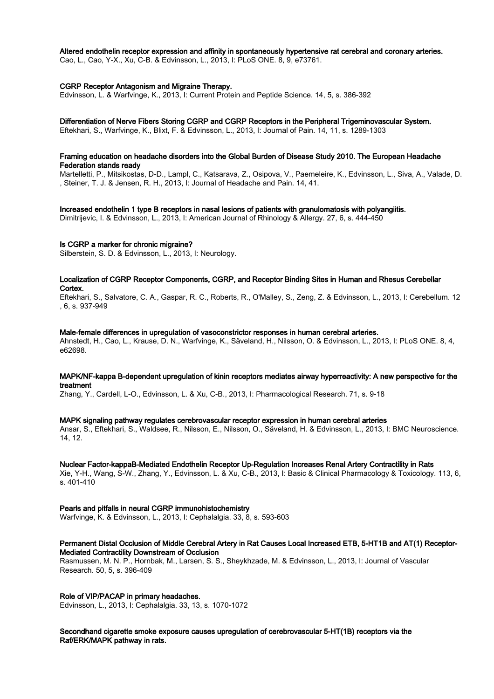#### Altered endothelin receptor expression and affinity in spontaneously hypertensive rat cerebral and coronary arteries.

Cao, L., Cao, Y-X., Xu, C-B. & Edvinsson, L., 2013, I: PLoS ONE. 8, 9, e73761.

#### CGRP Receptor Antagonism and Migraine Therapy.

Edvinsson, L. & Warfvinge, K., 2013, I: Current Protein and Peptide Science. 14, 5, s. 386-392

#### Differentiation of Nerve Fibers Storing CGRP and CGRP Receptors in the Peripheral Trigeminovascular System.

Eftekhari, S., Warfvinge, K., Blixt, F. & Edvinsson, L., 2013, I: Journal of Pain. 14, 11, s. 1289-1303

#### Framing education on headache disorders into the Global Burden of Disease Study 2010. The European Headache Federation stands ready

Martelletti, P., Mitsikostas, D-D., Lampl, C., Katsarava, Z., Osipova, V., Paemeleire, K., Edvinsson, L., Siva, A., Valade, D. , Steiner, T. J. & Jensen, R. H., 2013, I: Journal of Headache and Pain. 14, 41.

#### Increased endothelin 1 type B receptors in nasal lesions of patients with granulomatosis with polyangiitis.

Dimitrijevic, I. & Edvinsson, L., 2013, I: American Journal of Rhinology & Allergy. 27, 6, s. 444-450

#### Is CGRP a marker for chronic migraine?

Silberstein, S. D. & Edvinsson, L., 2013, I: Neurology.

#### Localization of CGRP Receptor Components, CGRP, and Receptor Binding Sites in Human and Rhesus Cerebellar Cortex.

Eftekhari, S., Salvatore, C. A., Gaspar, R. C., Roberts, R., O'Malley, S., Zeng, Z. & Edvinsson, L., 2013, I: Cerebellum. 12 , 6, s. 937-949

#### Male-female differences in upregulation of vasoconstrictor responses in human cerebral arteries.

Ahnstedt, H., Cao, L., Krause, D. N., Warfvinge, K., Säveland, H., Nilsson, O. & Edvinsson, L., 2013, I: PLoS ONE. 8, 4, e62698.

## MAPK/NF-kappa B-dependent upregulation of kinin receptors mediates airway hyperreactivity: A new perspective for the treatment

Zhang, Y., Cardell, L-O., Edvinsson, L. & Xu, C-B., 2013, I: Pharmacological Research. 71, s. 9-18

#### MAPK signaling pathway regulates cerebrovascular receptor expression in human cerebral arteries

Ansar, S., Eftekhari, S., Waldsee, R., Nilsson, E., Nilsson, O., Säveland, H. & Edvinsson, L., 2013, I: BMC Neuroscience. 14, 12.

#### Nuclear Factor-kappaB-Mediated Endothelin Receptor Up-Regulation Increases Renal Artery Contractility in Rats

Xie, Y-H., Wang, S-W., Zhang, Y., Edvinsson, L. & Xu, C-B., 2013, I: Basic & Clinical Pharmacology & Toxicology. 113, 6, s. 401-410

# Pearls and pitfalls in neural CGRP immunohistochemistry

Warfvinge, K. & Edvinsson, L., 2013, I: Cephalalgia. 33, 8, s. 593-603

## Permanent Distal Occlusion of Middle Cerebral Artery in Rat Causes Local Increased ETB, 5-HT1B and AT(1) Receptor-Mediated Contractility Downstream of Occlusion

Rasmussen, M. N. P., Hornbak, M., Larsen, S. S., Sheykhzade, M. & Edvinsson, L., 2013, I: Journal of Vascular Research. 50, 5, s. 396-409

## Role of VIP/PACAP in primary headaches.

Edvinsson, L., 2013, I: Cephalalgia. 33, 13, s. 1070-1072

Secondhand cigarette smoke exposure causes upregulation of cerebrovascular 5-HT(1B) receptors via the Raf/ERK/MAPK pathway in rats.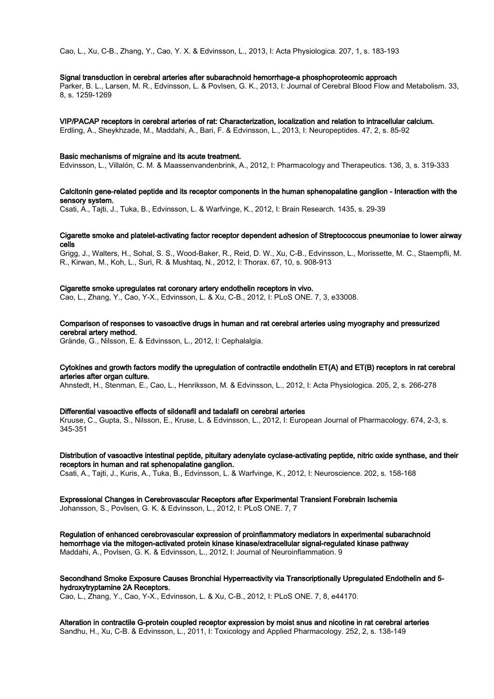Cao, L., Xu, C-B., Zhang, Y., Cao, Y. X. & Edvinsson, L., 2013, I: Acta Physiologica. 207, 1, s. 183-193

#### Signal transduction in cerebral arteries after subarachnoid hemorrhage-a phosphoproteomic approach

Parker, B. L., Larsen, M. R., Edvinsson, L. & Povlsen, G. K., 2013, I: Journal of Cerebral Blood Flow and Metabolism. 33, 8, s. 1259-1269

#### VIP/PACAP receptors in cerebral arteries of rat: Characterization, localization and relation to intracellular calcium.

Erdling, A., Sheykhzade, M., Maddahi, A., Bari, F. & Edvinsson, L., 2013, I: Neuropeptides. 47, 2, s. 85-92

#### Basic mechanisms of migraine and its acute treatment.

Edvinsson, L., Villalón, C. M. & Maassenvandenbrink, A., 2012, I: Pharmacology and Therapeutics. 136, 3, s. 319-333

## Calcitonin gene-related peptide and its receptor components in the human sphenopalatine ganglion - Interaction with the sensory system.

Csati, A., Tajti, J., Tuka, B., Edvinsson, L. & Warfvinge, K., 2012, I: Brain Research. 1435, s. 29-39

## Cigarette smoke and platelet-activating factor receptor dependent adhesion of Streptococcus pneumoniae to lower airway cells

Grigg, J., Walters, H., Sohal, S. S., Wood-Baker, R., Reid, D. W., Xu, C-B., Edvinsson, L., Morissette, M. C., Staempfli, M. R., Kirwan, M., Koh, L., Suri, R. & Mushtaq, N., 2012, I: Thorax. 67, 10, s. 908-913

## Cigarette smoke upregulates rat coronary artery endothelin receptors in vivo.

Cao, L., Zhang, Y., Cao, Y-X., Edvinsson, L. & Xu, C-B., 2012, I: PLoS ONE. 7, 3, e33008.

# Comparison of responses to vasoactive drugs in human and rat cerebral arteries using myography and pressurized cerebral artery method.

Grände, G., Nilsson, E. & Edvinsson, L., 2012, I: Cephalalgia.

## Cytokines and growth factors modify the upregulation of contractile endothelin ET(A) and ET(B) receptors in rat cerebral arteries after organ culture.

Ahnstedt, H., Stenman, E., Cao, L., Henriksson, M. & Edvinsson, L., 2012, I: Acta Physiologica. 205, 2, s. 266-278

#### Differential vasoactive effects of sildenafil and tadalafil on cerebral arteries

Kruuse, C., Gupta, S., Nilsson, E., Kruse, L. & Edvinsson, L., 2012, I: European Journal of Pharmacology. 674, 2-3, s. 345-351

# Distribution of vasoactive intestinal peptide, pituitary adenylate cyclase-activating peptide, nitric oxide synthase, and their receptors in human and rat sphenopalatine ganglion.

Csati, A., Tajti, J., Kuris, A., Tuka, B., Edvinsson, L. & Warfvinge, K., 2012, I: Neuroscience. 202, s. 158-168

## Expressional Changes in Cerebrovascular Receptors after Experimental Transient Forebrain Ischemia Johansson, S., Povlsen, G. K. & Edvinsson, L., 2012, I: PLoS ONE. 7, 7

Regulation of enhanced cerebrovascular expression of proinflammatory mediators in experimental subarachnoid hemorrhage via the mitogen-activated protein kinase kinase/extracellular signal-regulated kinase pathway Maddahi, A., Povlsen, G. K. & Edvinsson, L., 2012, I: Journal of Neuroinflammation. 9

#### Secondhand Smoke Exposure Causes Bronchial Hyperreactivity via Transcriptionally Upregulated Endothelin and 5 hydroxytryptamine 2A Receptors.

Cao, L., Zhang, Y., Cao, Y-X., Edvinsson, L. & Xu, C-B., 2012, I: PLoS ONE. 7, 8, e44170.

Alteration in contractile G-protein coupled receptor expression by moist snus and nicotine in rat cerebral arteries Sandhu, H., Xu, C-B. & Edvinsson, L., 2011, I: Toxicology and Applied Pharmacology. 252, 2, s. 138-149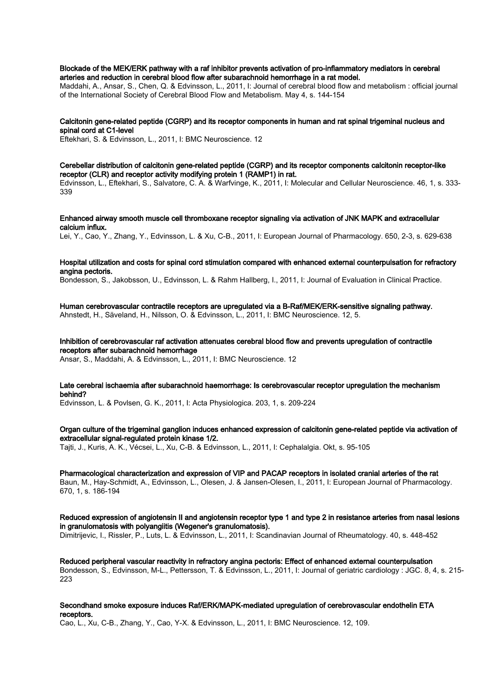#### Blockade of the MEK/ERK pathway with a raf inhibitor prevents activation of pro-inflammatory mediators in cerebral arteries and reduction in cerebral blood flow after subarachnoid hemorrhage in a rat model.

Maddahi, A., Ansar, S., Chen, Q. & Edvinsson, L., 2011, I: Journal of cerebral blood flow and metabolism : official journal of the International Society of Cerebral Blood Flow and Metabolism. May 4, s. 144-154

## Calcitonin gene-related peptide (CGRP) and its receptor components in human and rat spinal trigeminal nucleus and spinal cord at C1-level

Eftekhari, S. & Edvinsson, L., 2011, I: BMC Neuroscience. 12

#### Cerebellar distribution of calcitonin gene-related peptide (CGRP) and its receptor components calcitonin receptor-like receptor (CLR) and receptor activity modifying protein 1 (RAMP1) in rat.

Edvinsson, L., Eftekhari, S., Salvatore, C. A. & Warfvinge, K., 2011, I: Molecular and Cellular Neuroscience. 46, 1, s. 333- 339

#### Enhanced airway smooth muscle cell thromboxane receptor signaling via activation of JNK MAPK and extracellular calcium influx.

Lei, Y., Cao, Y., Zhang, Y., Edvinsson, L. & Xu, C-B., 2011, I: European Journal of Pharmacology. 650, 2-3, s. 629-638

#### Hospital utilization and costs for spinal cord stimulation compared with enhanced external counterpulsation for refractory angina pectoris.

Bondesson, S., Jakobsson, U., Edvinsson, L. & Rahm Hallberg, I., 2011, I: Journal of Evaluation in Clinical Practice.

# Human cerebrovascular contractile receptors are upregulated via a B-Raf/MEK/ERK-sensitive signaling pathway.

Ahnstedt, H., Säveland, H., Nilsson, O. & Edvinsson, L., 2011, I: BMC Neuroscience. 12, 5.

# Inhibition of cerebrovascular raf activation attenuates cerebral blood flow and prevents upregulation of contractile receptors after subarachnoid hemorrhage

Ansar, S., Maddahi, A. & Edvinsson, L., 2011, I: BMC Neuroscience. 12

## Late cerebral ischaemia after subarachnoid haemorrhage: Is cerebrovascular receptor upregulation the mechanism behind?

Edvinsson, L. & Povlsen, G. K., 2011, I: Acta Physiologica. 203, 1, s. 209-224

## Organ culture of the trigeminal ganglion induces enhanced expression of calcitonin gene-related peptide via activation of extracellular signal-regulated protein kinase 1/2.

Tajti, J., Kuris, A. K., Vécsei, L., Xu, C-B. & Edvinsson, L., 2011, I: Cephalalgia. Okt, s. 95-105

#### Pharmacological characterization and expression of VIP and PACAP receptors in isolated cranial arteries of the rat Baun, M., Hay-Schmidt, A., Edvinsson, L., Olesen, J. & Jansen-Olesen, I., 2011, I: European Journal of Pharmacology. 670, 1, s. 186-194

## Reduced expression of angiotensin II and angiotensin receptor type 1 and type 2 in resistance arteries from nasal lesions in granulomatosis with polyangiitis (Wegener's granulomatosis).

Dimitrijevic, I., Rissler, P., Luts, L. & Edvinsson, L., 2011, I: Scandinavian Journal of Rheumatology. 40, s. 448-452

## Reduced peripheral vascular reactivity in refractory angina pectoris: Effect of enhanced external counterpulsation Bondesson, S., Edvinsson, M-L., Pettersson, T. & Edvinsson, L., 2011, I: Journal of geriatric cardiology : JGC. 8, 4, s. 215- 223

#### Secondhand smoke exposure induces Raf/ERK/MAPK-mediated upregulation of cerebrovascular endothelin ETA receptors.

Cao, L., Xu, C-B., Zhang, Y., Cao, Y-X. & Edvinsson, L., 2011, I: BMC Neuroscience. 12, 109.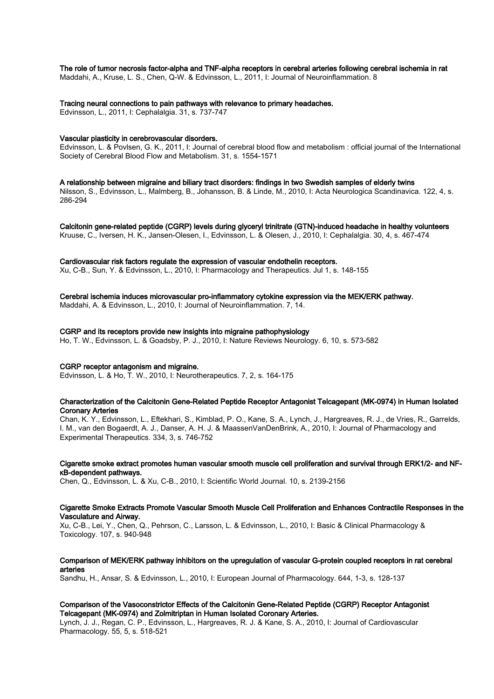#### The role of tumor necrosis factor-alpha and TNF-alpha receptors in cerebral arteries following cerebral ischemia in rat

Maddahi, A., Kruse, L. S., Chen, Q-W. & Edvinsson, L., 2011, I: Journal of Neuroinflammation. 8

## Tracing neural connections to pain pathways with relevance to primary headaches.

Edvinsson, L., 2011, I: Cephalalgia. 31, s. 737-747

#### Vascular plasticity in cerebrovascular disorders.

Edvinsson, L. & Povlsen, G. K., 2011, I: Journal of cerebral blood flow and metabolism : official journal of the International Society of Cerebral Blood Flow and Metabolism. 31, s. 1554-1571

#### A relationship between migraine and biliary tract disorders: findings in two Swedish samples of elderly twins

Nilsson, S., Edvinsson, L., Malmberg, B., Johansson, B. & Linde, M., 2010, I: Acta Neurologica Scandinavica. 122, 4, s. 286-294

Calcitonin gene-related peptide (CGRP) levels during glyceryl trinitrate (GTN)-induced headache in healthy volunteers Kruuse, C., Iversen, H. K., Jansen-Olesen, I., Edvinsson, L. & Olesen, J., 2010, I: Cephalalgia. 30, 4, s. 467-474

#### Cardiovascular risk factors regulate the expression of vascular endothelin receptors.

Xu, C-B., Sun, Y. & Edvinsson, L., 2010, I: Pharmacology and Therapeutics. Jul 1, s. 148-155

#### Cerebral ischemia induces microvascular pro-inflammatory cytokine expression via the MEK/ERK pathway.

Maddahi, A. & Edvinsson, L., 2010, I: Journal of Neuroinflammation. 7, 14.

#### CGRP and its receptors provide new insights into migraine pathophysiology

Ho, T. W., Edvinsson, L. & Goadsby, P. J., 2010, I: Nature Reviews Neurology. 6, 10, s. 573-582

#### CGRP receptor antagonism and migraine.

Edvinsson, L. & Ho, T. W., 2010, I: Neurotherapeutics. 7, 2, s. 164-175

## Characterization of the Calcitonin Gene-Related Peptide Receptor Antagonist Telcagepant (MK-0974) in Human Isolated Coronary Arteries

Chan, K. Y., Edvinsson, L., Eftekhari, S., Kimblad, P. O., Kane, S. A., Lynch, J., Hargreaves, R. J., de Vries, R., Garrelds, I. M., van den Bogaerdt, A. J., Danser, A. H. J. & MaassenVanDenBrink, A., 2010, I: Journal of Pharmacology and Experimental Therapeutics. 334, 3, s. 746-752

## Cigarette smoke extract promotes human vascular smooth muscle cell proliferation and survival through ERK1/2- and NFκB-dependent pathways.

Chen, Q., Edvinsson, L. & Xu, C-B., 2010, I: Scientific World Journal. 10, s. 2139-2156

## Cigarette Smoke Extracts Promote Vascular Smooth Muscle Cell Proliferation and Enhances Contractile Responses in the Vasculature and Airway.

Xu, C-B., Lei, Y., Chen, Q., Pehrson, C., Larsson, L. & Edvinsson, L., 2010, I: Basic & Clinical Pharmacology & Toxicology. 107, s. 940-948

## Comparison of MEK/ERK pathway inhibitors on the upregulation of vascular G-protein coupled receptors in rat cerebral arteries

Sandhu, H., Ansar, S. & Edvinsson, L., 2010, I: European Journal of Pharmacology. 644, 1-3, s. 128-137

## Comparison of the Vasoconstrictor Effects of the Calcitonin Gene-Related Peptide (CGRP) Receptor Antagonist Telcagepant (MK-0974) and Zolmitriptan in Human Isolated Coronary Arteries.

Lynch, J. J., Regan, C. P., Edvinsson, L., Hargreaves, R. J. & Kane, S. A., 2010, I: Journal of Cardiovascular Pharmacology. 55, 5, s. 518-521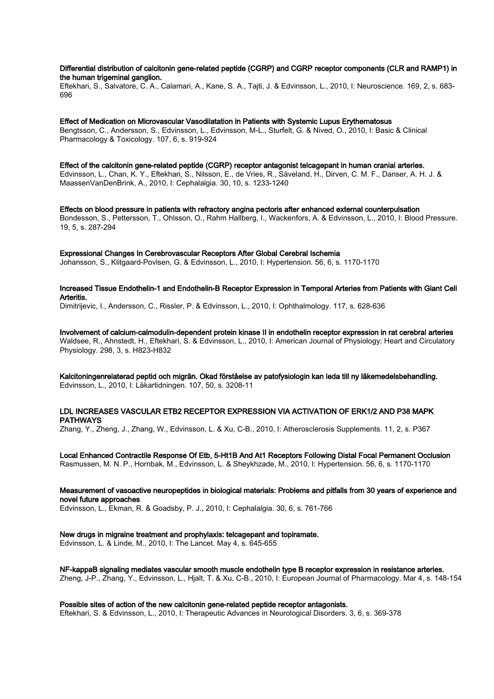## Differential distribution of calcitonin gene-related peptide (CGRP) and CGRP receptor components (CLR and RAMP1) in the human trigeminal ganglion.

Eftekhari, S., Salvatore, C. A., Calamari, A., Kane, S. A., Tajti, J. & Edvinsson, L., 2010, I: Neuroscience. 169, 2, s. 683- 696

Effect of Medication on Microvascular Vasodilatation in Patients with Systemic Lupus Erythematosus Bengtsson, C., Andersson, S., Edvinsson, L., Edvinsson, M-L., Sturfelt, G. & Nived, O., 2010, I: Basic & Clinical Pharmacology & Toxicology. 107, 6, s. 919-924

Effect of the calcitonin gene-related peptide (CGRP) receptor antagonist telcagepant in human cranial arteries. Edvinsson, L., Chan, K. Y., Eftekhari, S., Nilsson, E., de Vries, R., Säveland, H., Dirven, C. M. F., Danser, A. H. J. & MaassenVanDenBrink, A., 2010, I: Cephalalgia. 30, 10, s. 1233-1240

Effects on blood pressure in patients with refractory angina pectoris after enhanced external counterpulsation Bondesson, S., Pettersson, T., Ohlsson, O., Rahm Hallberg, I., Wackenfors, A. & Edvinsson, L., 2010, I: Blood Pressure. 19, 5, s. 287-294

Expressional Changes In Cerebrovascular Receptors After Global Cerebral Ischemia Johansson, S., Klitgaard-Povlsen, G. & Edvinsson, L., 2010, I: Hypertension. 56, 6, s. 1170-1170

Increased Tissue Endothelin-1 and Endothelin-B Receptor Expression in Temporal Arteries from Patients with Giant Cell Arteritis.

Dimitrijevic, I., Andersson, C., Rissler, P. & Edvinsson, L., 2010, I: Ophthalmology. 117, s. 628-636

Involvement of calcium-calmodulin-dependent protein kinase II in endothelin receptor expression in rat cerebral arteries Waldsee, R., Ahnstedt, H., Eftekhari, S. & Edvinsson, L., 2010, I: American Journal of Physiology: Heart and Circulatory Physiology. 298, 3, s. H823-H832

Kalcitoningenrelaterad peptid och migrän. Okad förståelse av patofysiologin kan leda till ny läkemedelsbehandling. Edvinsson, L., 2010, I: Läkartidningen. 107, 50, s. 3208-11

## LDL INCREASES VASCULAR ETB2 RECEPTOR EXPRESSION VIA ACTIVATION OF ERK1/2 AND P38 MAPK PATHWAYS

Zhang, Y., Zheng, J., Zhang, W., Edvinsson, L. & Xu, C-B., 2010, I: Atherosclerosis Supplements. 11, 2, s. P367

Local Enhanced Contractile Response Of Etb, 5-Ht1B And At1 Receptors Following Distal Focal Permanent Occlusion Rasmussen, M. N. P., Hornbak, M., Edvinsson, L. & Sheykhzade, M., 2010, I: Hypertension. 56, 6, s. 1170-1170

## Measurement of vasoactive neuropeptides in biological materials: Problems and pitfalls from 30 years of experience and novel future approaches

Edvinsson, L., Ekman, R. & Goadsby, P. J., 2010, I: Cephalalgia. 30, 6, s. 761-766

# New drugs in migraine treatment and prophylaxis: telcagepant and topiramate.

Edvinsson, L. & Linde, M., 2010, I: The Lancet. May 4, s. 645-655

NF-kappaB signaling mediates vascular smooth muscle endothelin type B receptor expression in resistance arteries. Zheng, J-P., Zhang, Y., Edvinsson, L., Hjalt, T. & Xu, C-B., 2010, I: European Journal of Pharmacology. Mar 4, s. 148-154

Possible sites of action of the new calcitonin gene-related peptide receptor antagonists. Eftekhari, S. & Edvinsson, L., 2010, I: Therapeutic Advances in Neurological Disorders. 3, 6, s. 369-378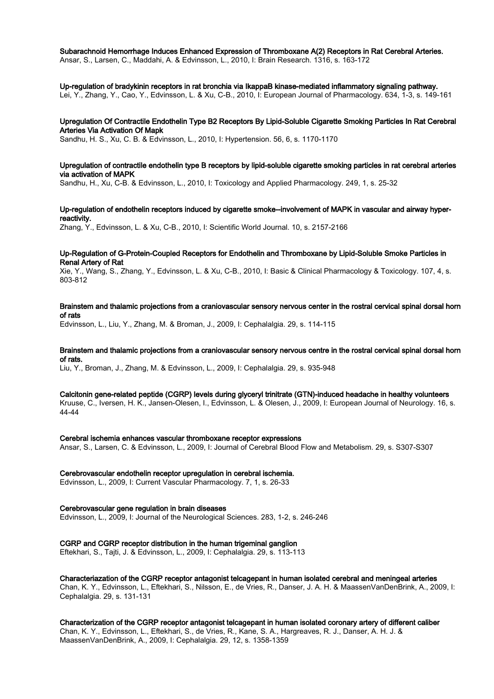#### Subarachnoid Hemorrhage Induces Enhanced Expression of Thromboxane A(2) Receptors in Rat Cerebral Arteries.

Ansar, S., Larsen, C., Maddahi, A. & Edvinsson, L., 2010, I: Brain Research. 1316, s. 163-172

#### Up-regulation of bradykinin receptors in rat bronchia via IkappaB kinase-mediated inflammatory signaling pathway.

Lei, Y., Zhang, Y., Cao, Y., Edvinsson, L. & Xu, C-B., 2010, I: European Journal of Pharmacology. 634, 1-3, s. 149-161

# Upregulation Of Contractile Endothelin Type B2 Receptors By Lipid-Soluble Cigarette Smoking Particles In Rat Cerebral Arteries Via Activation Of Mapk

Sandhu, H. S., Xu, C. B. & Edvinsson, L., 2010, I: Hypertension. 56, 6, s. 1170-1170

#### Upregulation of contractile endothelin type B receptors by lipid-soluble cigarette smoking particles in rat cerebral arteries via activation of MAPK

Sandhu, H., Xu, C-B. & Edvinsson, L., 2010, I: Toxicology and Applied Pharmacology. 249, 1, s. 25-32

## Up-regulation of endothelin receptors induced by cigarette smoke--involvement of MAPK in vascular and airway hyperreactivity.

Zhang, Y., Edvinsson, L. & Xu, C-B., 2010, I: Scientific World Journal. 10, s. 2157-2166

#### Up-Regulation of G-Protein-Coupled Receptors for Endothelin and Thromboxane by Lipid-Soluble Smoke Particles in Renal Artery of Rat

Xie, Y., Wang, S., Zhang, Y., Edvinsson, L. & Xu, C-B., 2010, I: Basic & Clinical Pharmacology & Toxicology. 107, 4, s. 803-812

## Brainstem and thalamic projections from a craniovascular sensory nervous center in the rostral cervical spinal dorsal horn of rats

Edvinsson, L., Liu, Y., Zhang, M. & Broman, J., 2009, I: Cephalalgia. 29, s. 114-115

## Brainstem and thalamic projections from a craniovascular sensory nervous centre in the rostral cervical spinal dorsal horn of rats.

Liu, Y., Broman, J., Zhang, M. & Edvinsson, L., 2009, I: Cephalalgia. 29, s. 935-948

## Calcitonin gene-related peptide (CGRP) levels during glyceryl trinitrate (GTN)-induced headache in healthy volunteers

Kruuse, C., Iversen, H. K., Jansen-Olesen, I., Edvinsson, L. & Olesen, J., 2009, I: European Journal of Neurology. 16, s. 44-44

#### Cerebral ischemia enhances vascular thromboxane receptor expressions

Ansar, S., Larsen, C. & Edvinsson, L., 2009, I: Journal of Cerebral Blood Flow and Metabolism. 29, s. S307-S307

#### Cerebrovascular endothelin receptor upregulation in cerebral ischemia.

Edvinsson, L., 2009, I: Current Vascular Pharmacology. 7, 1, s. 26-33

## Cerebrovascular gene regulation in brain diseases

Edvinsson, L., 2009, I: Journal of the Neurological Sciences. 283, 1-2, s. 246-246

## CGRP and CGRP receptor distribution in the human trigeminal ganglion

Eftekhari, S., Tajti, J. & Edvinsson, L., 2009, I: Cephalalgia. 29, s. 113-113

#### Characteriazation of the CGRP receptor antagonist telcagepant in human isolated cerebral and meningeal arteries Chan, K. Y., Edvinsson, L., Eftekhari, S., Nilsson, E., de Vries, R., Danser, J. A. H. & MaassenVanDenBrink, A., 2009, I: Cephalalgia. 29, s. 131-131

Characterization of the CGRP receptor antagonist telcagepant in human isolated coronary artery of different caliber Chan, K. Y., Edvinsson, L., Eftekhari, S., de Vries, R., Kane, S. A., Hargreaves, R. J., Danser, A. H. J. & MaassenVanDenBrink, A., 2009, I: Cephalalgia. 29, 12, s. 1358-1359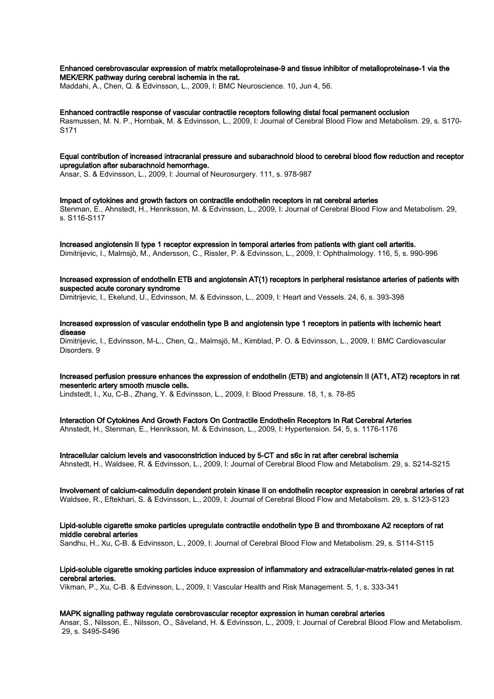Enhanced cerebrovascular expression of matrix metalloproteinase-9 and tissue inhibitor of metalloproteinase-1 via the MEK/ERK pathway during cerebral ischemia in the rat.

Maddahi, A., Chen, Q. & Edvinsson, L., 2009, I: BMC Neuroscience. 10, Jun 4, 56.

Enhanced contractile response of vascular contractile receptors following distal focal permanent occlusion Rasmussen, M. N. P., Hornbak, M. & Edvinsson, L., 2009, I: Journal of Cerebral Blood Flow and Metabolism. 29, s. S170- S171

Equal contribution of increased intracranial pressure and subarachnoid blood to cerebral blood flow reduction and receptor upregulation after subarachnoid hemorrhage.

Ansar, S. & Edvinsson, L., 2009, I: Journal of Neurosurgery. 111, s. 978-987

Impact of cytokines and growth factors on contractile endothelin receptors in rat cerebral arteries Stenman, E., Ahnstedt, H., Henriksson, M. & Edvinsson, L., 2009, I: Journal of Cerebral Blood Flow and Metabolism. 29, s. S116-S117

Increased angiotensin II type 1 receptor expression in temporal arteries from patients with giant cell arteritis. Dimitrijevic, I., Malmsjö, M., Andersson, C., Rissler, P. & Edvinsson, L., 2009, I: Ophthalmology. 116, 5, s. 990-996

Increased expression of endothelin ETB and angiotensin AT(1) receptors in peripheral resistance arteries of patients with suspected acute coronary syndrome

Dimitrijevic, I., Ekelund, U., Edvinsson, M. & Edvinsson, L., 2009, I: Heart and Vessels. 24, 6, s. 393-398

Increased expression of vascular endothelin type B and angiotensin type 1 receptors in patients with ischemic heart disease

Dimitrijevic, I., Edvinsson, M-L., Chen, Q., Malmsjö, M., Kimblad, P. O. & Edvinsson, L., 2009, I: BMC Cardiovascular Disorders. 9

## Increased perfusion pressure enhances the expression of endothelin (ETB) and angiotensin II (AT1, AT2) receptors in rat mesenteric artery smooth muscle cells.

Lindstedt, I., Xu, C-B., Zhang, Y. & Edvinsson, L., 2009, I: Blood Pressure. 18, 1, s. 78-85

Interaction Of Cytokines And Growth Factors On Contractile Endothelin Receptors In Rat Cerebral Arteries Ahnstedt, H., Stenman, E., Henriksson, M. & Edvinsson, L., 2009, I: Hypertension. 54, 5, s. 1176-1176

Intracellular calcium levels and vasoconstriction induced by 5-CT and s6c in rat after cerebral ischemia Ahnstedt, H., Waldsee, R. & Edvinsson, L., 2009, I: Journal of Cerebral Blood Flow and Metabolism. 29, s. S214-S215

Involvement of calcium-calmodulin dependent protein kinase II on endothelin receptor expression in cerebral arteries of rat Waldsee, R., Eftekhari, S. & Edvinsson, L., 2009, I: Journal of Cerebral Blood Flow and Metabolism. 29, s. S123-S123

# Lipid-soluble cigarette smoke particles upregulate contractile endothelin type B and thromboxane A2 receptors of rat middle cerebral arteries

Sandhu, H., Xu, C-B. & Edvinsson, L., 2009, I: Journal of Cerebral Blood Flow and Metabolism. 29, s. S114-S115

## Lipid-soluble cigarette smoking particles induce expression of inflammatory and extracellular-matrix-related genes in rat cerebral arteries.

Vikman, P., Xu, C-B. & Edvinsson, L., 2009, I: Vascular Health and Risk Management. 5, 1, s. 333-341

#### MAPK signalling pathway regulate cerebrovascular receptor expression in human cerebral arteries

Ansar, S., Nilsson, E., Nilsson, O., Säveland, H. & Edvinsson, L., 2009, I: Journal of Cerebral Blood Flow and Metabolism. 29, s. S495-S496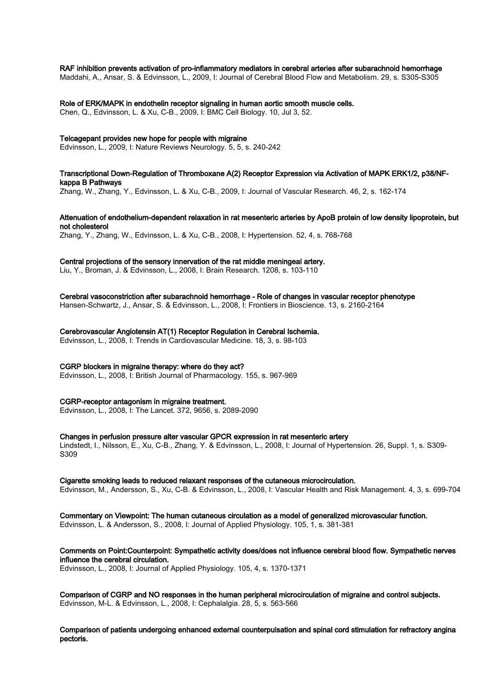#### RAF inhibition prevents activation of pro-inflammatory mediators in cerebral arteries after subarachnoid hemorrhage

Maddahi, A., Ansar, S. & Edvinsson, L., 2009, I: Journal of Cerebral Blood Flow and Metabolism. 29, s. S305-S305

## Role of ERK/MAPK in endothelin receptor signaling in human aortic smooth muscle cells.

Chen, Q., Edvinsson, L. & Xu, C-B., 2009, I: BMC Cell Biology. 10, Jul 3, 52.

#### Telcagepant provides new hope for people with migraine

Edvinsson, L., 2009, I: Nature Reviews Neurology. 5, 5, s. 240-242

#### Transcriptional Down-Regulation of Thromboxane A(2) Receptor Expression via Activation of MAPK ERK1/2, p38/NFkappa B Pathways

Zhang, W., Zhang, Y., Edvinsson, L. & Xu, C-B., 2009, I: Journal of Vascular Research. 46, 2, s. 162-174

## Attenuation of endothelium-dependent relaxation in rat mesenteric arteries by ApoB protein of low density lipoprotein, but not cholesterol

Zhang, Y., Zhang, W., Edvinsson, L. & Xu, C-B., 2008, I: Hypertension. 52, 4, s. 768-768

## Central projections of the sensory innervation of the rat middle meningeal artery.

Liu, Y., Broman, J. & Edvinsson, L., 2008, I: Brain Research. 1208, s. 103-110

#### Cerebral vasoconstriction after subarachnoid hemorrhage - Role of changes in vascular receptor phenotype

Hansen-Schwartz, J., Ansar, S. & Edvinsson, L., 2008, I: Frontiers in Bioscience. 13, s. 2160-2164

#### Cerebrovascular Angiotensin AT(1) Receptor Regulation in Cerebral Ischemia.

Edvinsson, L., 2008, I: Trends in Cardiovascular Medicine. 18, 3, s. 98-103

#### CGRP blockers in migraine therapy: where do they act?

Edvinsson, L., 2008, I: British Journal of Pharmacology. 155, s. 967-969

#### CGRP-receptor antagonism in migraine treatment.

Edvinsson, L., 2008, I: The Lancet. 372, 9656, s. 2089-2090

#### Changes in perfusion pressure alter vascular GPCR expression in rat mesenteric artery

Lindstedt, I., Nilsson, E., Xu, C-B., Zhang, Y. & Edvinsson, L., 2008, I: Journal of Hypertension. 26, Suppl. 1, s. S309- S309

#### Cigarette smoking leads to reduced relaxant responses of the cutaneous microcirculation.

Edvinsson, M., Andersson, S., Xu, C-B. & Edvinsson, L., 2008, I: Vascular Health and Risk Management. 4, 3, s. 699-704

#### Commentary on Viewpoint: The human cutaneous circulation as a model of generalized microvascular function. Edvinsson, L. & Andersson, S., 2008, I: Journal of Applied Physiology. 105, 1, s. 381-381

## Comments on Point:Counterpoint: Sympathetic activity does/does not influence cerebral blood flow. Sympathetic nerves influence the cerebral circulation.

Edvinsson, L., 2008, I: Journal of Applied Physiology. 105, 4, s. 1370-1371

Comparison of CGRP and NO responses in the human peripheral microcirculation of migraine and control subjects. Edvinsson, M-L. & Edvinsson, L., 2008, I: Cephalalgia. 28, 5, s. 563-566

Comparison of patients undergoing enhanced external counterpulsation and spinal cord stimulation for refractory angina pectoris.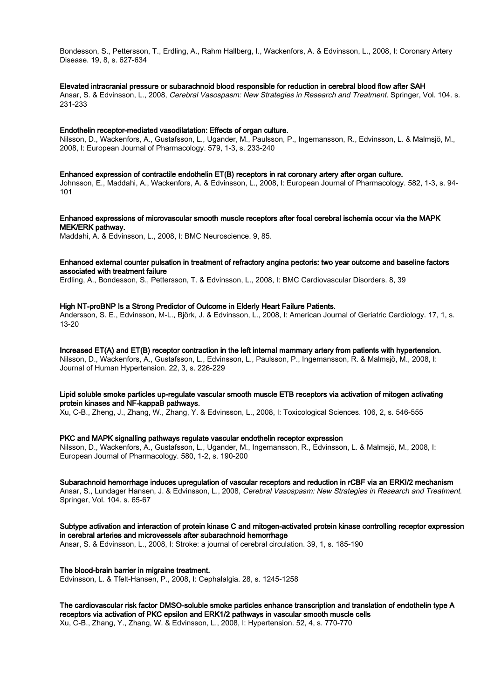Bondesson, S., Pettersson, T., Erdling, A., Rahm Hallberg, I., Wackenfors, A. & Edvinsson, L., 2008, I: Coronary Artery Disease. 19, 8, s. 627-634

#### Elevated intracranial pressure or subarachnoid blood responsible for reduction in cerebral blood flow after SAH

Ansar, S. & Edvinsson, L., 2008, Cerebral Vasospasm: New Strategies in Research and Treatment. Springer, Vol. 104. s. 231-233

#### Endothelin receptor-mediated vasodilatation: Effects of organ culture.

Nilsson, D., Wackenfors, A., Gustafsson, L., Ugander, M., Paulsson, P., Ingemansson, R., Edvinsson, L. & Malmsjö, M., 2008, I: European Journal of Pharmacology. 579, 1-3, s. 233-240

Enhanced expression of contractile endothelin ET(B) receptors in rat coronary artery after organ culture.

Johnsson, E., Maddahi, A., Wackenfors, A. & Edvinsson, L., 2008, I: European Journal of Pharmacology. 582, 1-3, s. 94- 101

Enhanced expressions of microvascular smooth muscle receptors after focal cerebral ischemia occur via the MAPK MEK/ERK pathway.

Maddahi, A. & Edvinsson, L., 2008, I: BMC Neuroscience. 9, 85.

## Enhanced external counter pulsation in treatment of refractory angina pectoris: two year outcome and baseline factors associated with treatment failure

Erdling, A., Bondesson, S., Pettersson, T. & Edvinsson, L., 2008, I: BMC Cardiovascular Disorders. 8, 39

#### High NT-proBNP Is a Strong Predictor of Outcome in Elderly Heart Failure Patients.

Andersson, S. E., Edvinsson, M-L., Björk, J. & Edvinsson, L., 2008, I: American Journal of Geriatric Cardiology. 17, 1, s. 13-20

Increased ET(A) and ET(B) receptor contraction in the left internal mammary artery from patients with hypertension. Nilsson, D., Wackenfors, A., Gustafsson, L., Edvinsson, L., Paulsson, P., Ingemansson, R. & Malmsjö, M., 2008, I: Journal of Human Hypertension. 22, 3, s. 226-229

## Lipid soluble smoke particles up-regulate vascular smooth muscle ETB receptors via activation of mitogen activating protein kinases and NF-kappaB pathways.

Xu, C-B., Zheng, J., Zhang, W., Zhang, Y. & Edvinsson, L., 2008, I: Toxicological Sciences. 106, 2, s. 546-555

PKC and MAPK signalling pathways regulate vascular endothelin receptor expression Nilsson, D., Wackenfors, A., Gustafsson, L., Ugander, M., Ingemansson, R., Edvinsson, L. & Malmsjö, M., 2008, I: European Journal of Pharmacology. 580, 1-2, s. 190-200

Subarachnoid hemorrhage induces upregulation of vascular receptors and reduction in rCBF via an ERKI/2 mechanism Ansar, S., Lundager Hansen, J. & Edvinsson, L., 2008, Cerebral Vasospasm: New Strategies in Research and Treatment. Springer, Vol. 104. s. 65-67

Subtype activation and interaction of protein kinase C and mitogen-activated protein kinase controlling receptor expression in cerebral arteries and microvessels after subarachnoid hemorrhage Ansar, S. & Edvinsson, L., 2008, I: Stroke: a journal of cerebral circulation. 39, 1, s. 185-190

The blood-brain barrier in migraine treatment. Edvinsson, L. & Tfelt-Hansen, P., 2008, I: Cephalalgia. 28, s. 1245-1258

The cardiovascular risk factor DMSO-soluble smoke particles enhance transcription and translation of endothelin type A receptors via activation of PKC epsilon and ERK1/2 pathways in vascular smooth muscle cells Xu, C-B., Zhang, Y., Zhang, W. & Edvinsson, L., 2008, I: Hypertension. 52, 4, s. 770-770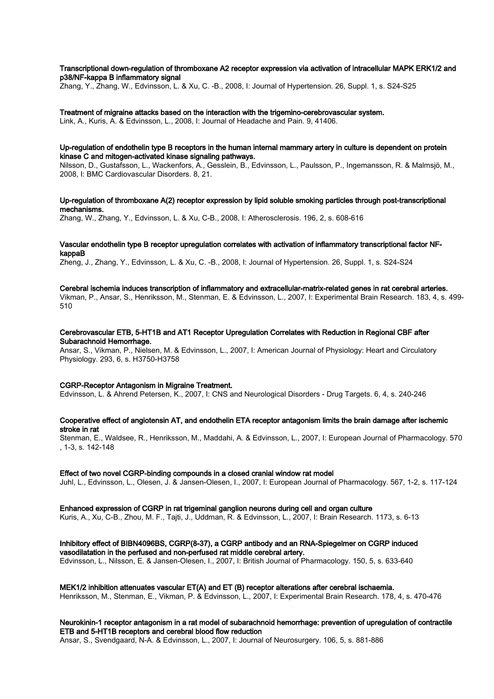## Transcriptional down-regulation of thromboxane A2 receptor expression via activation of intracellular MAPK ERK1/2 and p38/NF-kappa B inflammatory signal

Zhang, Y., Zhang, W., Edvinsson, L. & Xu, C. -B., 2008, I: Journal of Hypertension. 26, Suppl. 1, s. S24-S25

Treatment of migraine attacks based on the interaction with the trigemino-cerebrovascular system. Link, A., Kuris, A. & Edvinsson, L., 2008, I: Journal of Headache and Pain. 9, 41406.

#### Up-regulation of endothelin type B receptors in the human internal mammary artery in culture is dependent on protein kinase C and mitogen-activated kinase signaling pathways.

Nilsson, D., Gustafsson, L., Wackenfors, A., Gesslein, B., Edvinsson, L., Paulsson, P., Ingemansson, R. & Malmsjö, M., 2008, I: BMC Cardiovascular Disorders. 8, 21.

## Up-regulation of thromboxane A(2) receptor expression by lipid soluble smoking particles through post-transcriptional mechanisms.

Zhang, W., Zhang, Y., Edvinsson, L. & Xu, C-B., 2008, I: Atherosclerosis. 196, 2, s. 608-616

## Vascular endothelin type B receptor upregulation correlates with activation of inflammatory transcriptional factor NFkappaB

Zheng, J., Zhang, Y., Edvinsson, L. & Xu, C. -B., 2008, I: Journal of Hypertension. 26, Suppl. 1, s. S24-S24

#### Cerebral ischemia induces transcription of inflammatory and extracellular-matrix-related genes in rat cerebral arteries.

Vikman, P., Ansar, S., Henriksson, M., Stenman, E. & Edvinsson, L., 2007, I: Experimental Brain Research. 183, 4, s. 499- 510

## Cerebrovascular ETB, 5-HT1B and AT1 Receptor Upregulation Correlates with Reduction in Regional CBF after Subarachnoid Hemorrhage.

Ansar, S., Vikman, P., Nielsen, M. & Edvinsson, L., 2007, I: American Journal of Physiology: Heart and Circulatory Physiology. 293, 6, s. H3750-H3758

#### CGRP-Receptor Antagonism in Migraine Treatment.

Edvinsson, L. & Ahrend Petersen, K., 2007, I: CNS and Neurological Disorders - Drug Targets. 6, 4, s. 240-246

## Cooperative effect of angiotensin AT, and endothelin ETA receptor antagonism limits the brain damage after ischemic stroke in rat

Stenman, E., Waldsee, R., Henriksson, M., Maddahi, A. & Edvinsson, L., 2007, I: European Journal of Pharmacology. 570 , 1-3, s. 142-148

#### Effect of two novel CGRP-binding compounds in a closed cranial window rat model

Juhl, L., Edvinsson, L., Olesen, J. & Jansen-Olesen, I., 2007, I: European Journal of Pharmacology. 567, 1-2, s. 117-124

### Enhanced expression of CGRP in rat trigeminal ganglion neurons during cell and organ culture

Kuris, A., Xu, C-B., Zhou, M. F., Tajti, J., Uddman, R. & Edvinsson, L., 2007, I: Brain Research. 1173, s. 6-13

## Inhibitory effect of BIBN4096BS, CGRP(8-37), a CGRP antibody and an RNA-Spiegelmer on CGRP induced vasodilatation in the perfused and non-perfused rat middle cerebral artery.

Edvinsson, L., Nilsson, E. & Jansen-Olesen, I., 2007, I: British Journal of Pharmacology. 150, 5, s. 633-640

#### MEK1/2 inhibition attenuates vascular ET(A) and ET (B) receptor alterations after cerebral ischaemia.

Henriksson, M., Stenman, E., Vikman, P. & Edvinsson, L., 2007, I: Experimental Brain Research. 178, 4, s. 470-476

## Neurokinin-1 receptor antagonism in a rat model of subarachnoid hemorrhage: prevention of upregulation of contractile ETB and 5-HT1B receptors and cerebral blood flow reduction

Ansar, S., Svendgaard, N-A. & Edvinsson, L., 2007, I: Journal of Neurosurgery. 106, 5, s. 881-886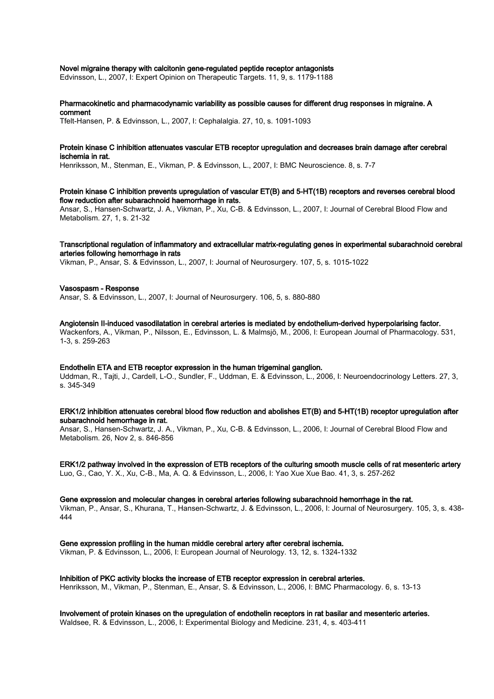#### Novel migraine therapy with calcitonin gene-regulated peptide receptor antagonists

Edvinsson, L., 2007, I: Expert Opinion on Therapeutic Targets. 11, 9, s. 1179-1188

## Pharmacokinetic and pharmacodynamic variability as possible causes for different drug responses in migraine. A comment

Tfelt-Hansen, P. & Edvinsson, L., 2007, I: Cephalalgia. 27, 10, s. 1091-1093

#### Protein kinase C inhibition attenuates vascular ETB receptor upregulation and decreases brain damage after cerebral ischemia in rat.

Henriksson, M., Stenman, E., Vikman, P. & Edvinsson, L., 2007, I: BMC Neuroscience. 8, s. 7-7

Protein kinase C inhibition prevents upregulation of vascular ET(B) and 5-HT(1B) receptors and reverses cerebral blood flow reduction after subarachnoid haemorrhage in rats. Ansar, S., Hansen-Schwartz, J. A., Vikman, P., Xu, C-B. & Edvinsson, L., 2007, I: Journal of Cerebral Blood Flow and Metabolism. 27, 1, s. 21-32

## Transcriptional regulation of inflammatory and extracellular matrix-regulating genes in experimental subarachnoid cerebral arteries following hemorrhage in rats

Vikman, P., Ansar, S. & Edvinsson, L., 2007, I: Journal of Neurosurgery. 107, 5, s. 1015-1022

#### Vasospasm - Response Ansar, S. & Edvinsson, L., 2007, I: Journal of Neurosurgery. 106, 5, s. 880-880

Angiotensin II-induced vasodilatation in cerebral arteries is mediated by endothelium-derived hyperpolarising factor. Wackenfors, A., Vikman, P., Nilsson, E., Edvinsson, L. & Malmsjö, M., 2006, I: European Journal of Pharmacology. 531, 1-3, s. 259-263

#### Endothelin ETA and ETB receptor expression in the human trigeminal ganglion.

Uddman, R., Tajti, J., Cardell, L-O., Sundler, F., Uddman, E. & Edvinsson, L., 2006, I: Neuroendocrinology Letters. 27, 3, s. 345-349

### ERK1/2 inhibition attenuates cerebral blood flow reduction and abolishes ET(B) and 5-HT(1B) receptor upregulation after subarachnoid hemorrhage in rat.

Ansar, S., Hansen-Schwartz, J. A., Vikman, P., Xu, C-B. & Edvinsson, L., 2006, I: Journal of Cerebral Blood Flow and Metabolism. 26, Nov 2, s. 846-856

ERK1/2 pathway involved in the expression of ETB receptors of the culturing smooth muscle cells of rat mesenteric artery Luo, G., Cao, Y. X., Xu, C-B., Ma, A. Q. & Edvinsson, L., 2006, I: Yao Xue Xue Bao. 41, 3, s. 257-262

#### Gene expression and molecular changes in cerebral arteries following subarachnoid hemorrhage in the rat.

Vikman, P., Ansar, S., Khurana, T., Hansen-Schwartz, J. & Edvinsson, L., 2006, I: Journal of Neurosurgery. 105, 3, s. 438- 444

Gene expression profiling in the human middle cerebral artery after cerebral ischemia.

Vikman, P. & Edvinsson, L., 2006, I: European Journal of Neurology. 13, 12, s. 1324-1332

#### Inhibition of PKC activity blocks the increase of ETB receptor expression in cerebral arteries.

Henriksson, M., Vikman, P., Stenman, E., Ansar, S. & Edvinsson, L., 2006, I: BMC Pharmacology. 6, s. 13-13

# Involvement of protein kinases on the upregulation of endothelin receptors in rat basilar and mesenteric arteries.

Waldsee, R. & Edvinsson, L., 2006, I: Experimental Biology and Medicine. 231, 4, s. 403-411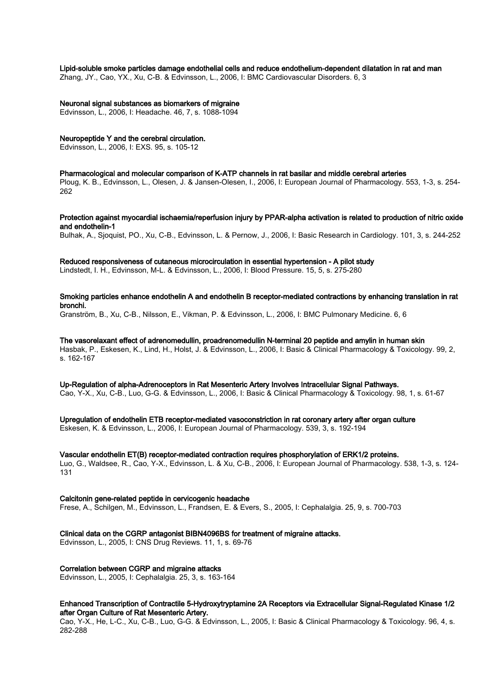#### Lipid-soluble smoke particles damage endothelial cells and reduce endothelium-dependent dilatation in rat and man

Zhang, JY., Cao, YX., Xu, C-B. & Edvinsson, L., 2006, I: BMC Cardiovascular Disorders. 6, 3

#### Neuronal signal substances as biomarkers of migraine

Edvinsson, L., 2006, I: Headache. 46, 7, s. 1088-1094

#### Neuropeptide Y and the cerebral circulation.

Edvinsson, L., 2006, I: EXS. 95, s. 105-12

#### Pharmacological and molecular comparison of K-ATP channels in rat basilar and middle cerebral arteries

Ploug, K. B., Edvinsson, L., Olesen, J. & Jansen-Olesen, I., 2006, I: European Journal of Pharmacology. 553, 1-3, s. 254- 262

Protection against myocardial ischaemia/reperfusion injury by PPAR-alpha activation is related to production of nitric oxide and endothelin-1

Bulhak, A., Sjoquist, PO., Xu, C-B., Edvinsson, L. & Pernow, J., 2006, I: Basic Research in Cardiology. 101, 3, s. 244-252

#### Reduced responsiveness of cutaneous microcirculation in essential hypertension - A pilot study

Lindstedt, I. H., Edvinsson, M-L. & Edvinsson, L., 2006, I: Blood Pressure. 15, 5, s. 275-280

## Smoking particles enhance endothelin A and endothelin B receptor-mediated contractions by enhancing translation in rat bronchi.

Granström, B., Xu, C-B., Nilsson, E., Vikman, P. & Edvinsson, L., 2006, I: BMC Pulmonary Medicine. 6, 6

The vasorelaxant effect of adrenomedullin, proadrenomedullin N-terminal 20 peptide and amylin in human skin Hasbak, P., Eskesen, K., Lind, H., Holst, J. & Edvinsson, L., 2006, I: Basic & Clinical Pharmacology & Toxicology. 99, 2, s. 162-167

Up-Regulation of alpha-Adrenoceptors in Rat Mesenteric Artery Involves Intracellular Signal Pathways. Cao, Y-X., Xu, C-B., Luo, G-G. & Edvinsson, L., 2006, I: Basic & Clinical Pharmacology & Toxicology. 98, 1, s. 61-67

Upregulation of endothelin ETB receptor-mediated vasoconstriction in rat coronary artery after organ culture Eskesen, K. & Edvinsson, L., 2006, I: European Journal of Pharmacology. 539, 3, s. 192-194

#### Vascular endothelin ET(B) receptor-mediated contraction requires phosphorylation of ERK1/2 proteins. Luo, G., Waldsee, R., Cao, Y-X., Edvinsson, L. & Xu, C-B., 2006, I: European Journal of Pharmacology. 538, 1-3, s. 124-

131

## Calcitonin gene-related peptide in cervicogenic headache

Frese, A., Schilgen, M., Edvinsson, L., Frandsen, E. & Evers, S., 2005, I: Cephalalgia. 25, 9, s. 700-703

## Clinical data on the CGRP antagonist BIBN4096BS for treatment of migraine attacks.

Edvinsson, L., 2005, I: CNS Drug Reviews. 11, 1, s. 69-76

## Correlation between CGRP and migraine attacks

Edvinsson, L., 2005, I: Cephalalgia. 25, 3, s. 163-164

## Enhanced Transcription of Contractile 5-Hydroxytryptamine 2A Receptors via Extracellular Signal-Regulated Kinase 1/2 after Organ Culture of Rat Mesenteric Artery.

Cao, Y-X., He, L-C., Xu, C-B., Luo, G-G. & Edvinsson, L., 2005, I: Basic & Clinical Pharmacology & Toxicology. 96, 4, s. 282-288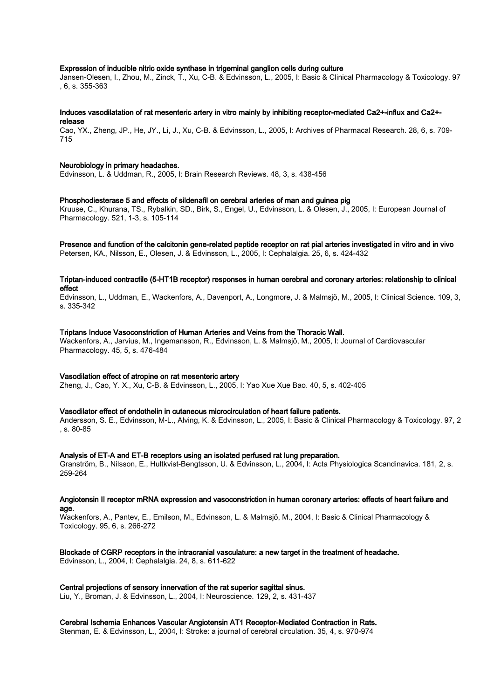#### Expression of inducible nitric oxide synthase in trigeminal ganglion cells during culture

Jansen-Olesen, I., Zhou, M., Zinck, T., Xu, C-B. & Edvinsson, L., 2005, I: Basic & Clinical Pharmacology & Toxicology. 97 , 6, s. 355-363

#### Induces vasodilatation of rat mesenteric artery in vitro mainly by inhibiting receptor-mediated Ca2+-influx and Ca2+ release

Cao, YX., Zheng, JP., He, JY., Li, J., Xu, C-B. & Edvinsson, L., 2005, I: Archives of Pharmacal Research. 28, 6, s. 709- 715

#### Neurobiology in primary headaches.

Edvinsson, L. & Uddman, R., 2005, I: Brain Research Reviews. 48, 3, s. 438-456

#### Phosphodiesterase 5 and effects of sildenafil on cerebral arteries of man and guinea pig

Kruuse, C., Khurana, TS., Rybalkin, SD., Birk, S., Engel, U., Edvinsson, L. & Olesen, J., 2005, I: European Journal of Pharmacology. 521, 1-3, s. 105-114

# Presence and function of the calcitonin gene-related peptide receptor on rat pial arteries investigated in vitro and in vivo

Petersen, KA., Nilsson, E., Olesen, J. & Edvinsson, L., 2005, I: Cephalalgia. 25, 6, s. 424-432

## Triptan-induced contractile (5-HT1B receptor) responses in human cerebral and coronary arteries: relationship to clinical effect

Edvinsson, L., Uddman, E., Wackenfors, A., Davenport, A., Longmore, J. & Malmsjö, M., 2005, I: Clinical Science. 109, 3, s. 335-342

#### Triptans Induce Vasoconstriction of Human Arteries and Veins from the Thoracic Wall.

Wackenfors, A., Jarvius, M., Ingemansson, R., Edvinsson, L. & Malmsjö, M., 2005, I: Journal of Cardiovascular Pharmacology. 45, 5, s. 476-484

#### Vasodilation effect of atropine on rat mesenteric artery

Zheng, J., Cao, Y. X., Xu, C-B. & Edvinsson, L., 2005, I: Yao Xue Xue Bao. 40, 5, s. 402-405

#### Vasodilator effect of endothelin in cutaneous microcirculation of heart failure patients.

Andersson, S. E., Edvinsson, M-L., Alving, K. & Edvinsson, L., 2005, I: Basic & Clinical Pharmacology & Toxicology. 97, 2 , s. 80-85

#### Analysis of ET-A and ET-B receptors using an isolated perfused rat lung preparation.

Granström, B., Nilsson, E., Hultkvist-Bengtsson, U. & Edvinsson, L., 2004, I: Acta Physiologica Scandinavica. 181, 2, s. 259-264

#### Angiotensin II receptor mRNA expression and vasoconstriction in human coronary arteries: effects of heart failure and age.

Wackenfors, A., Pantev, E., Emilson, M., Edvinsson, L. & Malmsjö, M., 2004, I: Basic & Clinical Pharmacology & Toxicology. 95, 6, s. 266-272

## Blockade of CGRP receptors in the intracranial vasculature: a new target in the treatment of headache.

Edvinsson, L., 2004, I: Cephalalgia. 24, 8, s. 611-622

## Central projections of sensory innervation of the rat superior sagittal sinus.

Liu, Y., Broman, J. & Edvinsson, L., 2004, I: Neuroscience. 129, 2, s. 431-437

## Cerebral Ischemia Enhances Vascular Angiotensin AT1 Receptor-Mediated Contraction in Rats.

Stenman, E. & Edvinsson, L., 2004, I: Stroke: a journal of cerebral circulation. 35, 4, s. 970-974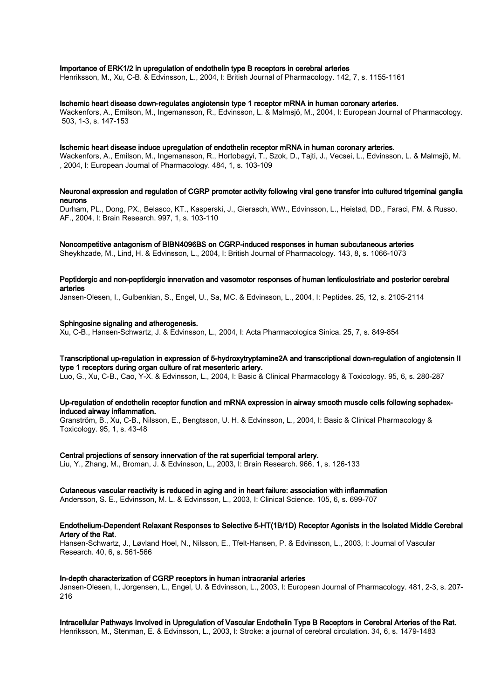#### Importance of ERK1/2 in upregulation of endothelin type B receptors in cerebral arteries

Henriksson, M., Xu, C-B. & Edvinsson, L., 2004, I: British Journal of Pharmacology. 142, 7, s. 1155-1161

#### Ischemic heart disease down-regulates angiotensin type 1 receptor mRNA in human coronary arteries.

Wackenfors, A., Emilson, M., Ingemansson, R., Edvinsson, L. & Malmsjö, M., 2004, I: European Journal of Pharmacology. 503, 1-3, s. 147-153

#### Ischemic heart disease induce upregulation of endothelin receptor mRNA in human coronary arteries.

Wackenfors, A., Emilson, M., Ingemansson, R., Hortobagyi, T., Szok, D., Tajti, J., Vecsei, L., Edvinsson, L. & Malmsjö, M. , 2004, I: European Journal of Pharmacology. 484, 1, s. 103-109

## Neuronal expression and regulation of CGRP promoter activity following viral gene transfer into cultured trigeminal ganglia neurons

Durham, PL., Dong, PX., Belasco, KT., Kasperski, J., Gierasch, WW., Edvinsson, L., Heistad, DD., Faraci, FM. & Russo, AF., 2004, I: Brain Research. 997, 1, s. 103-110

## Noncompetitive antagonism of BIBN4096BS on CGRP-induced responses in human subcutaneous arteries

Sheykhzade, M., Lind, H. & Edvinsson, L., 2004, I: British Journal of Pharmacology. 143, 8, s. 1066-1073

## Peptidergic and non-peptidergic innervation and vasomotor responses of human lenticulostriate and posterior cerebral arteries

Jansen-Olesen, I., Gulbenkian, S., Engel, U., Sa, MC. & Edvinsson, L., 2004, I: Peptides. 25, 12, s. 2105-2114

#### Sphingosine signaling and atherogenesis.

Xu, C-B., Hansen-Schwartz, J. & Edvinsson, L., 2004, I: Acta Pharmacologica Sinica. 25, 7, s. 849-854

## Transcriptional up-regulation in expression of 5-hydroxytryptamine2A and transcriptional down-regulation of angiotensin II type 1 receptors during organ culture of rat mesenteric artery.

Luo, G., Xu, C-B., Cao, Y-X. & Edvinsson, L., 2004, I: Basic & Clinical Pharmacology & Toxicology. 95, 6, s. 280-287

#### Up-regulation of endothelin receptor function and mRNA expression in airway smooth muscle cells following sephadexinduced airway inflammation.

Granström, B., Xu, C-B., Nilsson, E., Bengtsson, U. H. & Edvinsson, L., 2004, I: Basic & Clinical Pharmacology & Toxicology. 95, 1, s. 43-48

## Central projections of sensory innervation of the rat superficial temporal artery.

Liu, Y., Zhang, M., Broman, J. & Edvinsson, L., 2003, I: Brain Research. 966, 1, s. 126-133

#### Cutaneous vascular reactivity is reduced in aging and in heart failure: association with inflammation

Andersson, S. E., Edvinsson, M. L. & Edvinsson, L., 2003, I: Clinical Science. 105, 6, s. 699-707

#### Endothelium-Dependent Relaxant Responses to Selective 5-HT(1B/1D) Receptor Agonists in the Isolated Middle Cerebral Artery of the Rat.

Hansen-Schwartz, J., Løvland Hoel, N., Nilsson, E., Tfelt-Hansen, P. & Edvinsson, L., 2003, I: Journal of Vascular Research. 40, 6, s. 561-566

#### In-depth characterization of CGRP receptors in human intracranial arteries

Jansen-Olesen, I., Jorgensen, L., Engel, U. & Edvinsson, L., 2003, I: European Journal of Pharmacology. 481, 2-3, s. 207- 216

#### Intracellular Pathways Involved in Upregulation of Vascular Endothelin Type B Receptors in Cerebral Arteries of the Rat. Henriksson, M., Stenman, E. & Edvinsson, L., 2003, I: Stroke: a journal of cerebral circulation. 34, 6, s. 1479-1483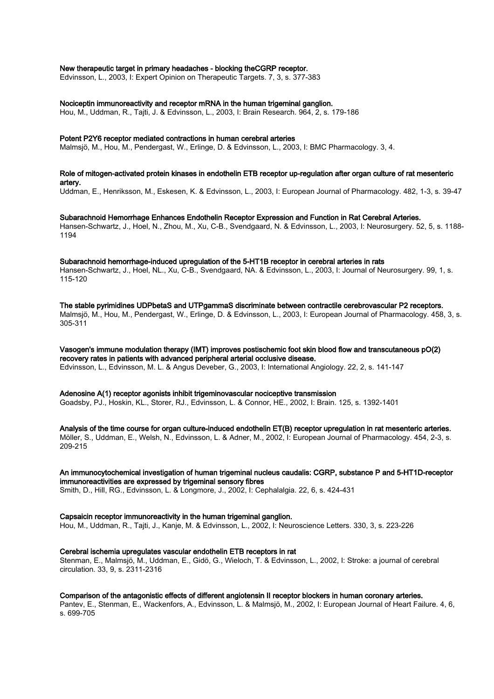## New therapeutic target in primary headaches - blocking theCGRP receptor.

Edvinsson, L., 2003, I: Expert Opinion on Therapeutic Targets. 7, 3, s. 377-383

## Nociceptin immunoreactivity and receptor mRNA in the human trigeminal ganglion.

Hou, M., Uddman, R., Tajti, J. & Edvinsson, L., 2003, I: Brain Research. 964, 2, s. 179-186

#### Potent P2Y6 receptor mediated contractions in human cerebral arteries

Malmsjö, M., Hou, M., Pendergast, W., Erlinge, D. & Edvinsson, L., 2003, I: BMC Pharmacology. 3, 4.

## Role of mitogen-activated protein kinases in endothelin ETB receptor up-regulation after organ culture of rat mesenteric artery.

Uddman, E., Henriksson, M., Eskesen, K. & Edvinsson, L., 2003, I: European Journal of Pharmacology. 482, 1-3, s. 39-47

#### Subarachnoid Hemorrhage Enhances Endothelin Receptor Expression and Function in Rat Cerebral Arteries. Hansen-Schwartz, J., Hoel, N., Zhou, M., Xu, C-B., Svendgaard, N. & Edvinsson, L., 2003, I: Neurosurgery. 52, 5, s. 1188- 1194

#### Subarachnoid hemorrhage-induced upregulation of the 5-HT1B receptor in cerebral arteries in rats

Hansen-Schwartz, J., Hoel, NL., Xu, C-B., Svendgaard, NA. & Edvinsson, L., 2003, I: Journal of Neurosurgery. 99, 1, s. 115-120

The stable pyrimidines UDPbetaS and UTPgammaS discriminate between contractile cerebrovascular P2 receptors. Malmsjö, M., Hou, M., Pendergast, W., Erlinge, D. & Edvinsson, L., 2003, I: European Journal of Pharmacology. 458, 3, s. 305-311

Vasogen's immune modulation therapy (IMT) improves postischemic foot skin blood flow and transcutaneous pO(2) recovery rates in patients with advanced peripheral arterial occlusive disease. Edvinsson, L., Edvinsson, M. L. & Angus Deveber, G., 2003, I: International Angiology. 22, 2, s. 141-147

# Adenosine A(1) receptor agonists inhibit trigeminovascular nociceptive transmission

Goadsby, PJ., Hoskin, KL., Storer, RJ., Edvinsson, L. & Connor, HE., 2002, I: Brain. 125, s. 1392-1401

Analysis of the time course for organ culture-induced endothelin ET(B) receptor upregulation in rat mesenteric arteries. Möller, S., Uddman, E., Welsh, N., Edvinsson, L. & Adner, M., 2002, I: European Journal of Pharmacology. 454, 2-3, s. 209-215

# An immunocytochemical investigation of human trigeminal nucleus caudalis: CGRP, substance P and 5-HT1D-receptor immunoreactivities are expressed by trigeminal sensory fibres

Smith, D., Hill, RG., Edvinsson, L. & Longmore, J., 2002, I: Cephalalgia. 22, 6, s. 424-431

## Capsaicin receptor immunoreactivity in the human trigeminal ganglion.

Hou, M., Uddman, R., Tajti, J., Kanje, M. & Edvinsson, L., 2002, I: Neuroscience Letters. 330, 3, s. 223-226

## Cerebral ischemia upregulates vascular endothelin ETB receptors in rat

Stenman, E., Malmsjö, M., Uddman, E., Gidö, G., Wieloch, T. & Edvinsson, L., 2002, I: Stroke: a journal of cerebral circulation. 33, 9, s. 2311-2316

## Comparison of the antagonistic effects of different angiotensin II receptor blockers in human coronary arteries.

Pantev, E., Stenman, E., Wackenfors, A., Edvinsson, L. & Malmsjö, M., 2002, I: European Journal of Heart Failure. 4, 6, s. 699-705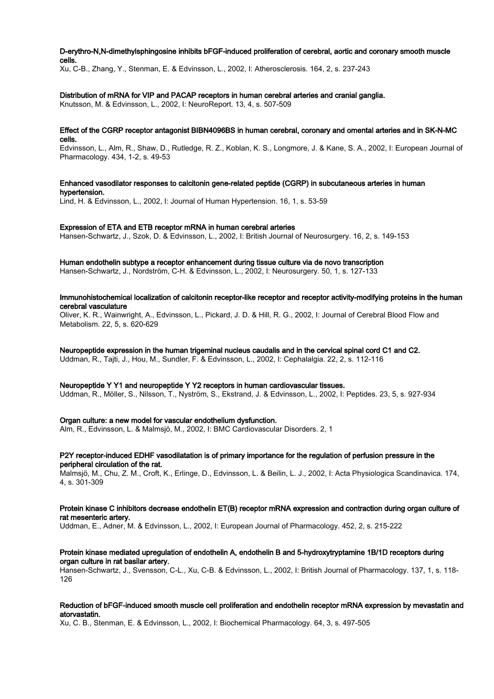## D-erythro-N,N-dimethylsphingosine inhibits bFGF-induced proliferation of cerebral, aortic and coronary smooth muscle cells.

Xu, C-B., Zhang, Y., Stenman, E. & Edvinsson, L., 2002, I: Atherosclerosis. 164, 2, s. 237-243

## Distribution of mRNA for VIP and PACAP receptors in human cerebral arteries and cranial ganglia.

Knutsson, M. & Edvinsson, L., 2002, I: NeuroReport. 13, 4, s. 507-509

## Effect of the CGRP receptor antagonist BIBN4096BS in human cerebral, coronary and omental arteries and in SK-N-MC cells.

Edvinsson, L., Alm, R., Shaw, D., Rutledge, R. Z., Koblan, K. S., Longmore, J. & Kane, S. A., 2002, I: European Journal of Pharmacology. 434, 1-2, s. 49-53

## Enhanced vasodilator responses to calcitonin gene-related peptide (CGRP) in subcutaneous arteries in human hypertension.

Lind, H. & Edvinsson, L., 2002, I: Journal of Human Hypertension. 16, 1, s. 53-59

#### Expression of ETA and ETB receptor mRNA in human cerebral arteries

Hansen-Schwartz, J., Szok, D. & Edvinsson, L., 2002, I: British Journal of Neurosurgery. 16, 2, s. 149-153

#### Human endothelin subtype a receptor enhancement during tissue culture via de novo transcription

Hansen-Schwartz, J., Nordström, C-H. & Edvinsson, L., 2002, I: Neurosurgery. 50, 1, s. 127-133

#### Immunohistochemical localization of calcitonin receptor-like receptor and receptor activity-modifying proteins in the human cerebral vasculature

Oliver, K. R., Wainwright, A., Edvinsson, L., Pickard, J. D. & Hill, R. G., 2002, I: Journal of Cerebral Blood Flow and Metabolism. 22, 5, s. 620-629

## Neuropeptide expression in the human trigeminal nucleus caudalis and in the cervical spinal cord C1 and C2.

Uddman, R., Tajti, J., Hou, M., Sundler, F. & Edvinsson, L., 2002, I: Cephalalgia. 22, 2, s. 112-116

#### Neuropeptide Y Y1 and neuropeptide Y Y2 receptors in human cardiovascular tissues.

Uddman, R., Möller, S., Nilsson, T., Nyström, S., Ekstrand, J. & Edvinsson, L., 2002, I: Peptides. 23, 5, s. 927-934

## Organ culture: a new model for vascular endothelium dysfunction.

Alm, R., Edvinsson, L. & Malmsjö, M., 2002, I: BMC Cardiovascular Disorders. 2, 1

## P2Y receptor-induced EDHF vasodilatation is of primary importance for the regulation of perfusion pressure in the peripheral circulation of the rat.

Malmsjö, M., Chu, Z. M., Croft, K., Erlinge, D., Edvinsson, L. & Beilin, L. J., 2002, I: Acta Physiologica Scandinavica. 174, 4, s. 301-309

#### Protein kinase C inhibitors decrease endothelin ET(B) receptor mRNA expression and contraction during organ culture of rat mesenteric artery.

Uddman, E., Adner, M. & Edvinsson, L., 2002, I: European Journal of Pharmacology. 452, 2, s. 215-222

#### Protein kinase mediated upregulation of endothelin A, endothelin B and 5-hydroxytryptamine 1B/1D receptors during organ culture in rat basilar artery.

Hansen-Schwartz, J., Svensson, C-L., Xu, C-B. & Edvinsson, L., 2002, I: British Journal of Pharmacology. 137, 1, s. 118- 126

## Reduction of bFGF-induced smooth muscle cell proliferation and endothelin receptor mRNA expression by mevastatin and atorvastatin.

Xu, C. B., Stenman, E. & Edvinsson, L., 2002, I: Biochemical Pharmacology. 64, 3, s. 497-505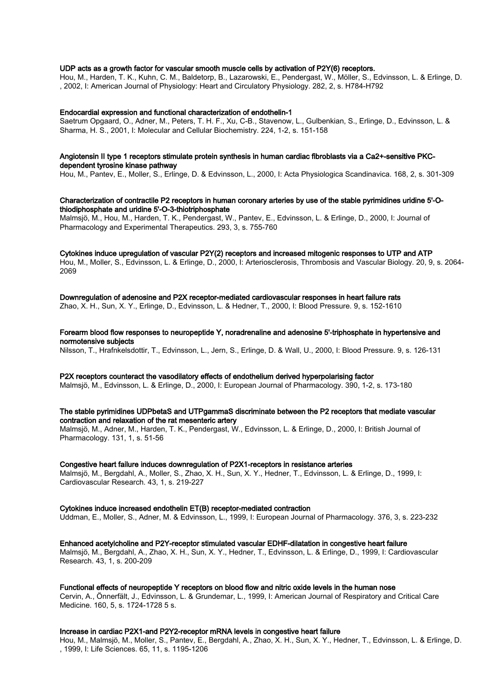## UDP acts as a growth factor for vascular smooth muscle cells by activation of P2Y(6) receptors.

Hou, M., Harden, T. K., Kuhn, C. M., Baldetorp, B., Lazarowski, E., Pendergast, W., Möller, S., Edvinsson, L. & Erlinge, D. , 2002, I: American Journal of Physiology: Heart and Circulatory Physiology. 282, 2, s. H784-H792

#### Endocardial expression and functional characterization of endothelin-1

Saetrum Opgaard, O., Adner, M., Peters, T. H. F., Xu, C-B., Stavenow, L., Gulbenkian, S., Erlinge, D., Edvinsson, L. & Sharma, H. S., 2001, I: Molecular and Cellular Biochemistry. 224, 1-2, s. 151-158

#### Angiotensin II type 1 receptors stimulate protein synthesis in human cardiac fibroblasts via a Ca2+-sensitive PKCdependent tyrosine kinase pathway

Hou, M., Pantev, E., Moller, S., Erlinge, D. & Edvinsson, L., 2000, I: Acta Physiologica Scandinavica. 168, 2, s. 301-309

#### Characterization of contractile P2 receptors in human coronary arteries by use of the stable pyrimidines uridine 5'-Othiodiphosphate and uridine 5'-O-3-thiotriphosphate

Malmsjö, M., Hou, M., Harden, T. K., Pendergast, W., Pantev, E., Edvinsson, L. & Erlinge, D., 2000, I: Journal of Pharmacology and Experimental Therapeutics. 293, 3, s. 755-760

Cytokines induce upregulation of vascular P2Y(2) receptors and increased mitogenic responses to UTP and ATP Hou, M., Moller, S., Edvinsson, L. & Erlinge, D., 2000, I: Arteriosclerosis, Thrombosis and Vascular Biology. 20, 9, s. 2064- 2069

Downregulation of adenosine and P2X receptor-mediated cardiovascular responses in heart failure rats Zhao, X. H., Sun, X. Y., Erlinge, D., Edvinsson, L. & Hedner, T., 2000, I: Blood Pressure. 9, s. 152-1610

Forearm blood flow responses to neuropeptide Y, noradrenaline and adenosine 5'-triphosphate in hypertensive and normotensive subjects

Nilsson, T., Hrafnkelsdottir, T., Edvinsson, L., Jern, S., Erlinge, D. & Wall, U., 2000, I: Blood Pressure. 9, s. 126-131

P2X receptors counteract the vasodilatory effects of endothelium derived hyperpolarising factor Malmsjö, M., Edvinsson, L. & Erlinge, D., 2000, I: European Journal of Pharmacology. 390, 1-2, s. 173-180

#### The stable pyrimidines UDPbetaS and UTPgammaS discriminate between the P2 receptors that mediate vascular contraction and relaxation of the rat mesenteric artery

Malmsjö, M., Adner, M., Harden, T. K., Pendergast, W., Edvinsson, L. & Erlinge, D., 2000, I: British Journal of Pharmacology. 131, 1, s. 51-56

#### Congestive heart failure induces downregulation of P2X1-receptors in resistance arteries

Malmsjö, M., Bergdahl, A., Moller, S., Zhao, X. H., Sun, X. Y., Hedner, T., Edvinsson, L. & Erlinge, D., 1999, I: Cardiovascular Research. 43, 1, s. 219-227

### Cytokines induce increased endothelin ET(B) receptor-mediated contraction

Uddman, E., Moller, S., Adner, M. & Edvinsson, L., 1999, I: European Journal of Pharmacology. 376, 3, s. 223-232

Enhanced acetylcholine and P2Y-receptor stimulated vascular EDHF-dilatation in congestive heart failure

Malmsjö, M., Bergdahl, A., Zhao, X. H., Sun, X. Y., Hedner, T., Edvinsson, L. & Erlinge, D., 1999, I: Cardiovascular Research. 43, 1, s. 200-209

Functional effects of neuropeptide Y receptors on blood flow and nitric oxide levels in the human nose

Cervin, A., Önnerfält, J., Edvinsson, L. & Grundemar, L., 1999, I: American Journal of Respiratory and Critical Care Medicine. 160, 5, s. 1724-1728 5 s.

#### Increase in cardiac P2X1-and P2Y2-receptor mRNA levels in congestive heart failure

Hou, M., Malmsjö, M., Moller, S., Pantev, E., Bergdahl, A., Zhao, X. H., Sun, X. Y., Hedner, T., Edvinsson, L. & Erlinge, D. , 1999, I: Life Sciences. 65, 11, s. 1195-1206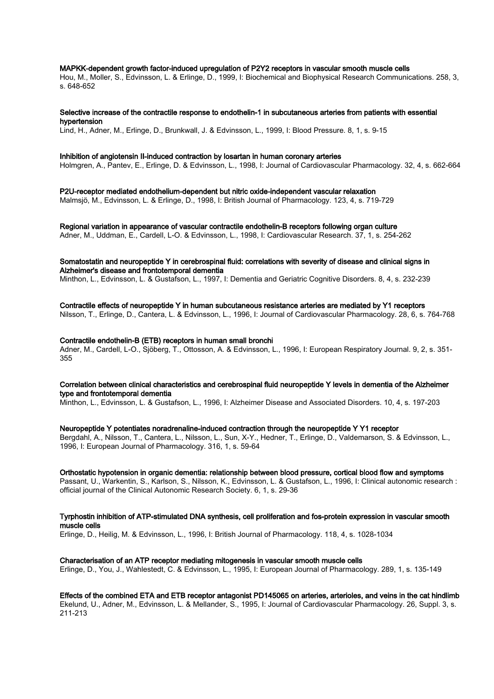#### MAPKK-dependent growth factor-induced upregulation of P2Y2 receptors in vascular smooth muscle cells

Hou, M., Moller, S., Edvinsson, L. & Erlinge, D., 1999, I: Biochemical and Biophysical Research Communications. 258, 3, s. 648-652

# Selective increase of the contractile response to endothelin-1 in subcutaneous arteries from patients with essential

hypertension

Lind, H., Adner, M., Erlinge, D., Brunkwall, J. & Edvinsson, L., 1999, I: Blood Pressure. 8, 1, s. 9-15

#### Inhibition of angiotensin II-induced contraction by losartan in human coronary arteries

Holmgren, A., Pantev, E., Erlinge, D. & Edvinsson, L., 1998, I: Journal of Cardiovascular Pharmacology. 32, 4, s. 662-664

P2U-receptor mediated endothelium-dependent but nitric oxide-independent vascular relaxation

Malmsjö, M., Edvinsson, L. & Erlinge, D., 1998, I: British Journal of Pharmacology. 123, 4, s. 719-729

## Regional variation in appearance of vascular contractile endothelin-B receptors following organ culture

Adner, M., Uddman, E., Cardell, L-O. & Edvinsson, L., 1998, I: Cardiovascular Research. 37, 1, s. 254-262

## Somatostatin and neuropeptide Y in cerebrospinal fluid: correlations with severity of disease and clinical signs in Alzheimer's disease and frontotemporal dementia

Minthon, L., Edvinsson, L. & Gustafson, L., 1997, I: Dementia and Geriatric Cognitive Disorders. 8, 4, s. 232-239

## Contractile effects of neuropeptide Y in human subcutaneous resistance arteries are mediated by Y1 receptors

Nilsson, T., Erlinge, D., Cantera, L. & Edvinsson, L., 1996, I: Journal of Cardiovascular Pharmacology. 28, 6, s. 764-768

#### Contractile endothelin-B (ETB) receptors in human small bronchi

Adner, M., Cardell, L-O., Sjöberg, T., Ottosson, A. & Edvinsson, L., 1996, I: European Respiratory Journal. 9, 2, s. 351- 355

## Correlation between clinical characteristics and cerebrospinal fluid neuropeptide Y levels in dementia of the Alzheimer type and frontotemporal dementia

Minthon, L., Edvinsson, L. & Gustafson, L., 1996, I: Alzheimer Disease and Associated Disorders. 10, 4, s. 197-203

#### Neuropeptide Y potentiates noradrenaline-induced contraction through the neuropeptide Y Y1 receptor

Bergdahl, A., Nilsson, T., Cantera, L., Nilsson, L., Sun, X-Y., Hedner, T., Erlinge, D., Valdemarson, S. & Edvinsson, L., 1996, I: European Journal of Pharmacology. 316, 1, s. 59-64

## Orthostatic hypotension in organic dementia: relationship between blood pressure, cortical blood flow and symptoms

Passant, U., Warkentin, S., Karlson, S., Nilsson, K., Edvinsson, L. & Gustafson, L., 1996, I: Clinical autonomic research : official journal of the Clinical Autonomic Research Society. 6, 1, s. 29-36

## Tyrphostin inhibition of ATP-stimulated DNA synthesis, cell proliferation and fos-protein expression in vascular smooth muscle cells

Erlinge, D., Heilig, M. & Edvinsson, L., 1996, I: British Journal of Pharmacology. 118, 4, s. 1028-1034

# Characterisation of an ATP receptor mediating mitogenesis in vascular smooth muscle cells

Erlinge, D., You, J., Wahlestedt, C. & Edvinsson, L., 1995, I: European Journal of Pharmacology. 289, 1, s. 135-149

## Effects of the combined ETA and ETB receptor antagonist PD145065 on arteries, arterioles, and veins in the cat hindlimb Ekelund, U., Adner, M., Edvinsson, L. & Mellander, S., 1995, I: Journal of Cardiovascular Pharmacology. 26, Suppl. 3, s.

211-213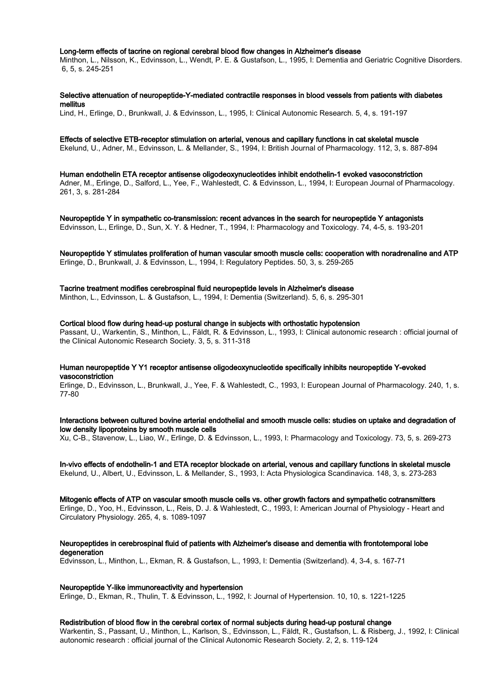#### Long-term effects of tacrine on regional cerebral blood flow changes in Alzheimer's disease

Minthon, L., Nilsson, K., Edvinsson, L., Wendt, P. E. & Gustafson, L., 1995, I: Dementia and Geriatric Cognitive Disorders. 6, 5, s. 245-251

Selective attenuation of neuropeptide-Y-mediated contractile responses in blood vessels from patients with diabetes mellitus

Lind, H., Erlinge, D., Brunkwall, J. & Edvinsson, L., 1995, I: Clinical Autonomic Research. 5, 4, s. 191-197

#### Effects of selective ETB-receptor stimulation on arterial, venous and capillary functions in cat skeletal muscle

Ekelund, U., Adner, M., Edvinsson, L. & Mellander, S., 1994, I: British Journal of Pharmacology. 112, 3, s. 887-894

Human endothelin ETA receptor antisense oligodeoxynucleotides inhibit endothelin-1 evoked vasoconstriction Adner, M., Erlinge, D., Salford, L., Yee, F., Wahlestedt, C. & Edvinsson, L., 1994, I: European Journal of Pharmacology. 261, 3, s. 281-284

Neuropeptide Y in sympathetic co-transmission: recent advances in the search for neuropeptide Y antagonists Edvinsson, L., Erlinge, D., Sun, X. Y. & Hedner, T., 1994, I: Pharmacology and Toxicology. 74, 4-5, s. 193-201

#### Neuropeptide Y stimulates proliferation of human vascular smooth muscle cells: cooperation with noradrenaline and ATP Erlinge, D., Brunkwall, J. & Edvinsson, L., 1994, I: Regulatory Peptides. 50, 3, s. 259-265

## Tacrine treatment modifies cerebrospinal fluid neuropeptide levels in Alzheimer's disease

Minthon, L., Edvinsson, L. & Gustafson, L., 1994, I: Dementia (Switzerland). 5, 6, s. 295-301

#### Cortical blood flow during head-up postural change in subjects with orthostatic hypotension

Passant, U., Warkentin, S., Minthon, L., Fäldt, R. & Edvinsson, L., 1993, I: Clinical autonomic research : official journal of the Clinical Autonomic Research Society. 3, 5, s. 311-318

## Human neuropeptide Y Y1 receptor antisense oligodeoxynucleotide specifically inhibits neuropeptide Y-evoked vasoconstriction

Erlinge, D., Edvinsson, L., Brunkwall, J., Yee, F. & Wahlestedt, C., 1993, I: European Journal of Pharmacology. 240, 1, s. 77-80

Interactions between cultured bovine arterial endothelial and smooth muscle cells: studies on uptake and degradation of low density lipoproteins by smooth muscle cells

Xu, C-B., Stavenow, L., Liao, W., Erlinge, D. & Edvinsson, L., 1993, I: Pharmacology and Toxicology. 73, 5, s. 269-273

In-vivo effects of endothelin-1 and ETA receptor blockade on arterial, venous and capillary functions in skeletal muscle Ekelund, U., Albert, U., Edvinsson, L. & Mellander, S., 1993, I: Acta Physiologica Scandinavica. 148, 3, s. 273-283

Mitogenic effects of ATP on vascular smooth muscle cells vs. other growth factors and sympathetic cotransmitters Erlinge, D., Yoo, H., Edvinsson, L., Reis, D. J. & Wahlestedt, C., 1993, I: American Journal of Physiology - Heart and Circulatory Physiology. 265, 4, s. 1089-1097

## Neuropeptides in cerebrospinal fluid of patients with Alzheimer's disease and dementia with frontotemporal lobe degeneration

Edvinsson, L., Minthon, L., Ekman, R. & Gustafson, L., 1993, I: Dementia (Switzerland). 4, 3-4, s. 167-71

## Neuropeptide Y-like immunoreactivity and hypertension

Erlinge, D., Ekman, R., Thulin, T. & Edvinsson, L., 1992, I: Journal of Hypertension. 10, 10, s. 1221-1225

## Redistribution of blood flow in the cerebral cortex of normal subjects during head-up postural change

Warkentin, S., Passant, U., Minthon, L., Karlson, S., Edvinsson, L., Fäldt, R., Gustafson, L. & Risberg, J., 1992, I: Clinical autonomic research : official journal of the Clinical Autonomic Research Society. 2, 2, s. 119-124